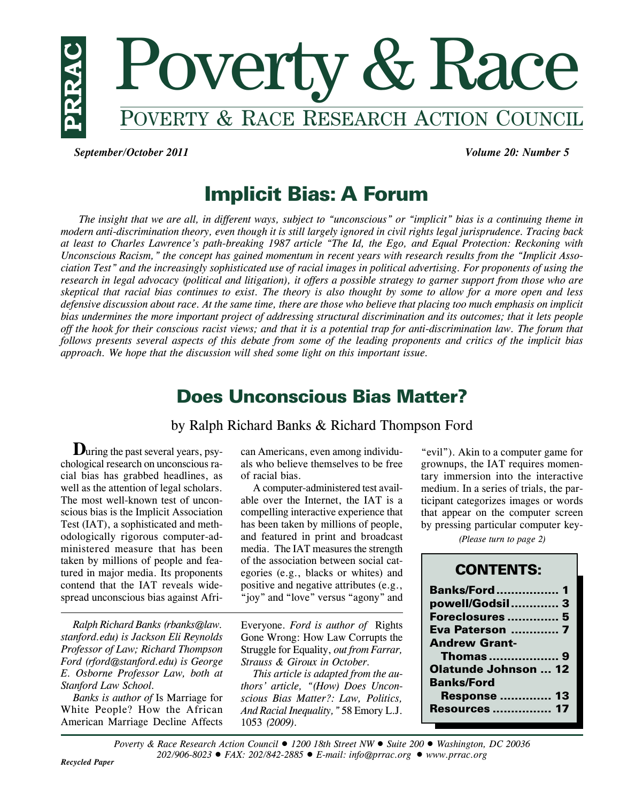

 *September/October 2011 Volume 20: Number 5*

# **Implicit Bias: A Forum**

*The insight that we are all, in different ways, subject to "unconscious" or "implicit" bias is a continuing theme in modern anti-discrimination theory, even though it is still largely ignored in civil rights legal jurisprudence. Tracing back at least to Charles Lawrence's path-breaking 1987 article "The Id, the Ego, and Equal Protection: Reckoning with Unconscious Racism," the concept has gained momentum in recent years with research results from the "Implicit Association Test" and the increasingly sophisticated use of racial images in political advertising. For proponents of using the research in legal advocacy (political and litigation), it offers a possible strategy to garner support from those who are skeptical that racial bias continues to exist. The theory is also thought by some to allow for a more open and less defensive discussion about race. At the same time, there are those who believe that placing too much emphasis on implicit bias undermines the more important project of addressing structural discrimination and its outcomes; that it lets people off the hook for their conscious racist views; and that it is a potential trap for anti-discrimination law. The forum that follows presents several aspects of this debate from some of the leading proponents and critics of the implicit bias approach. We hope that the discussion will shed some light on this important issue.*

# **Does Unconscious Bias Matter?**

by Ralph Richard Banks & Richard Thompson Ford

**D**uring the past several years, psychological research on unconscious racial bias has grabbed headlines, as well as the attention of legal scholars. The most well-known test of unconscious bias is the Implicit Association Test (IAT), a sophisticated and methodologically rigorous computer-administered measure that has been taken by millions of people and featured in major media. Its proponents contend that the IAT reveals widespread unconscious bias against Afri-

*Ralph Richard Banks (rbanks@law. stanford.edu) is Jackson Eli Reynolds Professor of Law; Richard Thompson Ford (rford@stanford.edu) is George E. Osborne Professor Law, both at Stanford Law School.*

*Banks is author of* Is Marriage for White People? How the African American Marriage Decline Affects

can Americans, even among individuals who believe themselves to be free of racial bias.

A computer-administered test available over the Internet, the IAT is a compelling interactive experience that has been taken by millions of people, and featured in print and broadcast media. The IAT measures the strength of the association between social categories (e.g., blacks or whites) and positive and negative attributes (e.g., "joy" and "love" versus "agony" and

Everyone. *Ford is author of* Rights Gone Wrong: How Law Corrupts the Struggle for Equality, *out from Farrar, Strauss & Giroux in October.*

*This article is adapted from the authors' article, "(How) Does Unconscious Bias Matter?: Law, Politics, And Racial Inequality,"* 58 Emory L.J. 1053 *(2009).*

"evil"). Akin to a computer game for grownups, the IAT requires momentary immersion into the interactive medium. In a series of trials, the participant categorizes images or words that appear on the computer screen by pressing particular computer key-

*(Please turn to page 2)*

| <b>CONTENTS:</b>       |  |
|------------------------|--|
|                        |  |
| powell/Godsil…………. 3   |  |
| <b>Foreclosures  5</b> |  |
| Eva Paterson  7        |  |
| <b>Andrew Grant-</b>   |  |
| <b>Thomas  9</b>       |  |
| Olatunde Johnson  12   |  |
| Banks/Ford             |  |
| <b>Response  13</b>    |  |
| <b>Resources  17</b>   |  |
|                        |  |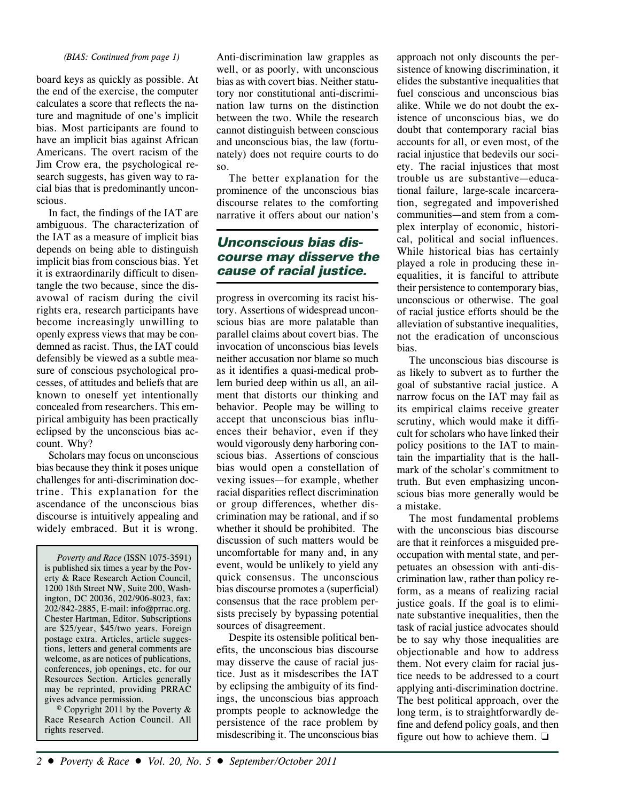#### *(BIAS: Continued from page 1)*

board keys as quickly as possible. At the end of the exercise, the computer calculates a score that reflects the nature and magnitude of one's implicit bias. Most participants are found to have an implicit bias against African Americans. The overt racism of the Jim Crow era, the psychological research suggests, has given way to racial bias that is predominantly unconscious.

In fact, the findings of the IAT are ambiguous. The characterization of the IAT as a measure of implicit bias depends on being able to distinguish implicit bias from conscious bias. Yet it is extraordinarily difficult to disentangle the two because, since the disavowal of racism during the civil rights era, research participants have become increasingly unwilling to openly express views that may be condemned as racist. Thus, the IAT could defensibly be viewed as a subtle measure of conscious psychological processes, of attitudes and beliefs that are known to oneself yet intentionally concealed from researchers. This empirical ambiguity has been practically eclipsed by the unconscious bias account. Why?

Scholars may focus on unconscious bias because they think it poses unique challenges for anti-discrimination doctrine. This explanation for the ascendance of the unconscious bias discourse is intuitively appealing and widely embraced. But it is wrong.

*Poverty and Race* (ISSN 1075-3591) is published six times a year by the Poverty & Race Research Action Council, 1200 18th Street NW, Suite 200, Washington, DC 20036, 202/906-8023, fax: 202/842-2885, E-mail: info@prrac.org. Chester Hartman, Editor. Subscriptions are \$25/year, \$45/two years. Foreign postage extra. Articles, article suggestions, letters and general comments are welcome, as are notices of publications, conferences, job openings, etc. for our Resources Section. Articles generally may be reprinted, providing PRRAC gives advance permission.

 $\degree$  Copyright 2011 by the Poverty & Race Research Action Council. All rights reserved.

Anti-discrimination law grapples as well, or as poorly, with unconscious bias as with covert bias. Neither statutory nor constitutional anti-discrimination law turns on the distinction between the two. While the research cannot distinguish between conscious and unconscious bias, the law (fortunately) does not require courts to do so.

The better explanation for the prominence of the unconscious bias discourse relates to the comforting narrative it offers about our nation's

### **Unconscious bias discourse may disserve the cause of racial justice.**

progress in overcoming its racist history. Assertions of widespread unconscious bias are more palatable than parallel claims about covert bias. The invocation of unconscious bias levels neither accusation nor blame so much as it identifies a quasi-medical problem buried deep within us all, an ailment that distorts our thinking and behavior. People may be willing to accept that unconscious bias influences their behavior, even if they would vigorously deny harboring conscious bias. Assertions of conscious bias would open a constellation of vexing issues—for example, whether racial disparities reflect discrimination or group differences, whether discrimination may be rational, and if so whether it should be prohibited. The discussion of such matters would be uncomfortable for many and, in any event, would be unlikely to yield any quick consensus. The unconscious bias discourse promotes a (superficial) consensus that the race problem persists precisely by bypassing potential sources of disagreement.

Despite its ostensible political benefits, the unconscious bias discourse may disserve the cause of racial justice. Just as it misdescribes the IAT by eclipsing the ambiguity of its findings, the unconscious bias approach prompts people to acknowledge the persistence of the race problem by misdescribing it. The unconscious bias approach not only discounts the persistence of knowing discrimination, it elides the substantive inequalities that fuel conscious and unconscious bias alike. While we do not doubt the existence of unconscious bias, we do doubt that contemporary racial bias accounts for all, or even most, of the racial injustice that bedevils our society. The racial injustices that most trouble us are substantive—educational failure, large-scale incarceration, segregated and impoverished communities—and stem from a complex interplay of economic, historical, political and social influences. While historical bias has certainly played a role in producing these inequalities, it is fanciful to attribute their persistence to contemporary bias, unconscious or otherwise. The goal of racial justice efforts should be the alleviation of substantive inequalities, not the eradication of unconscious bias.

The unconscious bias discourse is as likely to subvert as to further the goal of substantive racial justice. A narrow focus on the IAT may fail as its empirical claims receive greater scrutiny, which would make it difficult for scholars who have linked their policy positions to the IAT to maintain the impartiality that is the hallmark of the scholar's commitment to truth. But even emphasizing unconscious bias more generally would be a mistake.

The most fundamental problems with the unconscious bias discourse are that it reinforces a misguided preoccupation with mental state, and perpetuates an obsession with anti-discrimination law, rather than policy reform, as a means of realizing racial justice goals. If the goal is to eliminate substantive inequalities, then the task of racial justice advocates should be to say why those inequalities are objectionable and how to address them. Not every claim for racial justice needs to be addressed to a court applying anti-discrimination doctrine. The best political approach, over the long term, is to straightforwardly define and defend policy goals, and then figure out how to achieve them.  $\Box$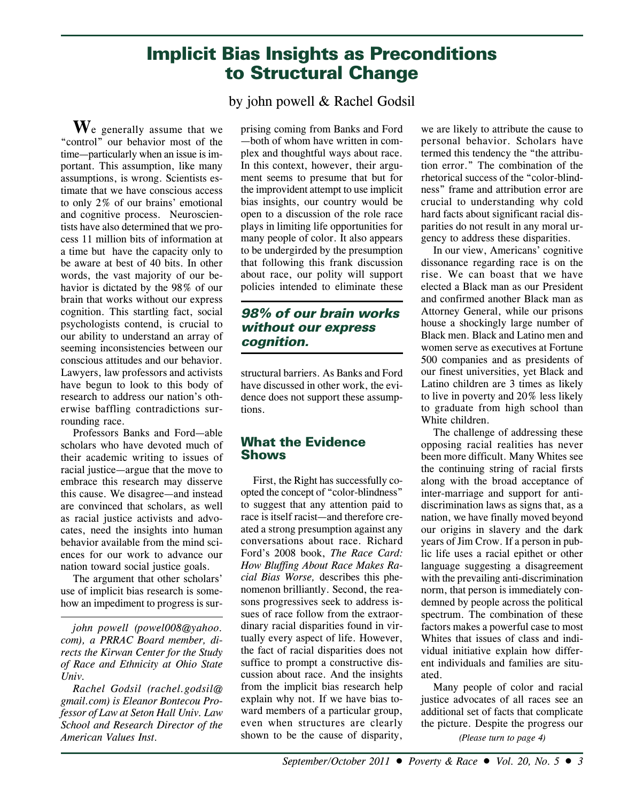# **Implicit Bias Insights as Preconditions to Structural Change**

**W**e generally assume that we "control" our behavior most of the time—particularly when an issue is important. This assumption, like many assumptions, is wrong. Scientists estimate that we have conscious access to only 2% of our brains' emotional and cognitive process. Neuroscientists have also determined that we process 11 million bits of information at a time but have the capacity only to be aware at best of 40 bits. In other words, the vast majority of our behavior is dictated by the 98% of our brain that works without our express cognition. This startling fact, social psychologists contend, is crucial to our ability to understand an array of seeming inconsistencies between our conscious attitudes and our behavior. Lawyers, law professors and activists have begun to look to this body of research to address our nation's otherwise baffling contradictions surrounding race.

Professors Banks and Ford—able scholars who have devoted much of their academic writing to issues of racial justice—argue that the move to embrace this research may disserve this cause. We disagree—and instead are convinced that scholars, as well as racial justice activists and advocates, need the insights into human behavior available from the mind sciences for our work to advance our nation toward social justice goals.

The argument that other scholars' use of implicit bias research is somehow an impediment to progress is sur-

*john powell (powel008@yahoo. com), a PRRAC Board member, directs the Kirwan Center for the Study of Race and Ethnicity at Ohio State Univ.*

*Rachel Godsil (rachel.godsil@ gmail.com) is Eleanor Bontecou Professor of Law at Seton Hall Univ. Law School and Research Director of the American Values Inst.*

by john powell & Rachel Godsil

prising coming from Banks and Ford —both of whom have written in complex and thoughtful ways about race. In this context, however, their argument seems to presume that but for the improvident attempt to use implicit bias insights, our country would be open to a discussion of the role race plays in limiting life opportunities for many people of color. It also appears to be undergirded by the presumption that following this frank discussion about race, our polity will support policies intended to eliminate these

#### **98% of our brain works without our express cognition.**

structural barriers. As Banks and Ford have discussed in other work, the evidence does not support these assumptions.

#### **What the Evidence Shows**

First, the Right has successfully coopted the concept of "color-blindness" to suggest that any attention paid to race is itself racist—and therefore created a strong presumption against any conversations about race. Richard Ford's 2008 book, *The Race Card: How Bluffing About Race Makes Racial Bias Worse,* describes this phenomenon brilliantly. Second, the reasons progressives seek to address issues of race follow from the extraordinary racial disparities found in virtually every aspect of life. However, the fact of racial disparities does not suffice to prompt a constructive discussion about race. And the insights from the implicit bias research help explain why not. If we have bias toward members of a particular group, even when structures are clearly shown to be the cause of disparity,

we are likely to attribute the cause to personal behavior. Scholars have termed this tendency the "the attribution error." The combination of the rhetorical success of the "color-blindness" frame and attribution error are crucial to understanding why cold hard facts about significant racial disparities do not result in any moral urgency to address these disparities.

In our view, Americans' cognitive dissonance regarding race is on the rise. We can boast that we have elected a Black man as our President and confirmed another Black man as Attorney General, while our prisons house a shockingly large number of Black men. Black and Latino men and women serve as executives at Fortune 500 companies and as presidents of our finest universities, yet Black and Latino children are 3 times as likely to live in poverty and 20% less likely to graduate from high school than White children.

The challenge of addressing these opposing racial realities has never been more difficult. Many Whites see the continuing string of racial firsts along with the broad acceptance of inter-marriage and support for antidiscrimination laws as signs that, as a nation, we have finally moved beyond our origins in slavery and the dark years of Jim Crow. If a person in public life uses a racial epithet or other language suggesting a disagreement with the prevailing anti-discrimination norm, that person is immediately condemned by people across the political spectrum. The combination of these factors makes a powerful case to most Whites that issues of class and individual initiative explain how different individuals and families are situated.

Many people of color and racial justice advocates of all races see an additional set of facts that complicate the picture. Despite the progress our *(Please turn to page 4)*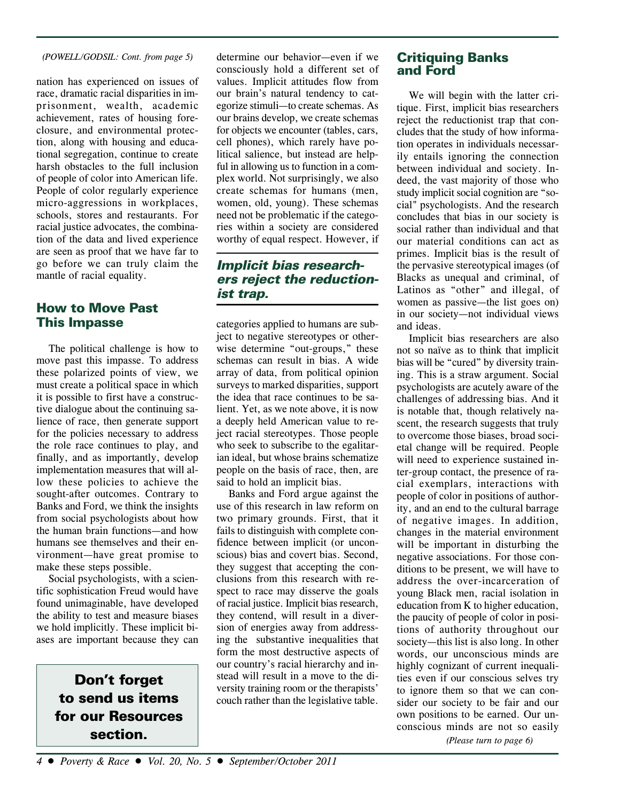#### *(POWELL/GODSIL: Cont. from page 5)*

nation has experienced on issues of race, dramatic racial disparities in imprisonment, wealth, academic achievement, rates of housing foreclosure, and environmental protection, along with housing and educational segregation, continue to create harsh obstacles to the full inclusion of people of color into American life. People of color regularly experience micro-aggressions in workplaces, schools, stores and restaurants. For racial justice advocates, the combination of the data and lived experience are seen as proof that we have far to go before we can truly claim the mantle of racial equality.

### **How to Move Past This Impasse**

The political challenge is how to move past this impasse. To address these polarized points of view, we must create a political space in which it is possible to first have a constructive dialogue about the continuing salience of race, then generate support for the policies necessary to address the role race continues to play, and finally, and as importantly, develop implementation measures that will allow these policies to achieve the sought-after outcomes. Contrary to Banks and Ford, we think the insights from social psychologists about how the human brain functions—and how humans see themselves and their environment—have great promise to make these steps possible.

Social psychologists, with a scientific sophistication Freud would have found unimaginable, have developed the ability to test and measure biases we hold implicitly. These implicit biases are important because they can

# **Don't forget to send us items for our Resources section.**

determine our behavior—even if we consciously hold a different set of values. Implicit attitudes flow from our brain's natural tendency to categorize stimuli—to create schemas. As our brains develop, we create schemas for objects we encounter (tables, cars, cell phones), which rarely have political salience, but instead are helpful in allowing us to function in a complex world. Not surprisingly, we also create schemas for humans (men, women, old, young). These schemas need not be problematic if the categories within a society are considered worthy of equal respect. However, if

## **Implicit bias researchers reject the reductionist trap.**

categories applied to humans are subject to negative stereotypes or otherwise determine "out-groups," these schemas can result in bias. A wide array of data, from political opinion surveys to marked disparities, support the idea that race continues to be salient. Yet, as we note above, it is now a deeply held American value to reject racial stereotypes. Those people who seek to subscribe to the egalitarian ideal, but whose brains schematize people on the basis of race, then, are said to hold an implicit bias.

Banks and Ford argue against the use of this research in law reform on two primary grounds. First, that it fails to distinguish with complete confidence between implicit (or unconscious) bias and covert bias. Second, they suggest that accepting the conclusions from this research with respect to race may disserve the goals of racial justice. Implicit bias research, they contend, will result in a diversion of energies away from addressing the substantive inequalities that form the most destructive aspects of our country's racial hierarchy and instead will result in a move to the diversity training room or the therapists' couch rather than the legislative table.

#### **Critiquing Banks and Ford**

We will begin with the latter critique. First, implicit bias researchers reject the reductionist trap that concludes that the study of how information operates in individuals necessarily entails ignoring the connection between individual and society. Indeed, the vast majority of those who study implicit social cognition are "social" psychologists. And the research concludes that bias in our society is social rather than individual and that our material conditions can act as primes. Implicit bias is the result of the pervasive stereotypical images (of Blacks as unequal and criminal, of Latinos as "other" and illegal, of women as passive—the list goes on) in our society—not individual views and ideas.

Implicit bias researchers are also not so naïve as to think that implicit bias will be "cured" by diversity training. This is a straw argument. Social psychologists are acutely aware of the challenges of addressing bias. And it is notable that, though relatively nascent, the research suggests that truly to overcome those biases, broad societal change will be required. People will need to experience sustained inter-group contact, the presence of racial exemplars, interactions with people of color in positions of authority, and an end to the cultural barrage of negative images. In addition, changes in the material environment will be important in disturbing the negative associations. For those conditions to be present, we will have to address the over-incarceration of young Black men, racial isolation in education from K to higher education, the paucity of people of color in positions of authority throughout our society—this list is also long. In other words, our unconscious minds are highly cognizant of current inequalities even if our conscious selves try to ignore them so that we can consider our society to be fair and our own positions to be earned. Our unconscious minds are not so easily

*(Please turn to page 6)*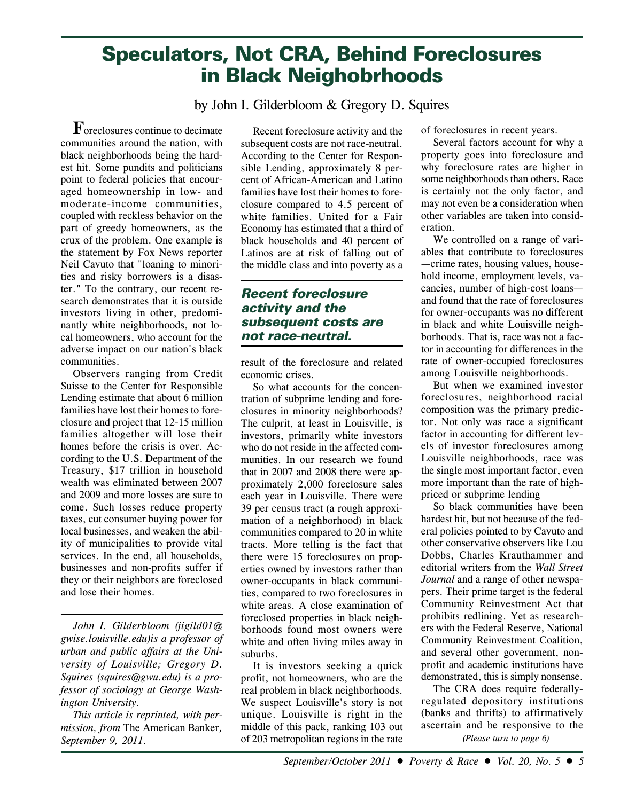# **Speculators, Not CRA, Behind Foreclosures in Black Neighobrhoods**

## by John I. Gilderbloom & Gregory D. Squires

**F**<sub>oreclosures continue to decimate</sub> communities around the nation, with black neighborhoods being the hardest hit. Some pundits and politicians point to federal policies that encouraged homeownership in low- and moderate-income communities, coupled with reckless behavior on the part of greedy homeowners, as the crux of the problem. One example is the statement by Fox News reporter Neil Cavuto that "loaning to minorities and risky borrowers is a disaster." To the contrary, our recent research demonstrates that it is outside investors living in other, predominantly white neighborhoods, not local homeowners, who account for the adverse impact on our nation's black communities.

Observers ranging from Credit Suisse to the Center for Responsible Lending estimate that about 6 million families have lost their homes to foreclosure and project that 12-15 million families altogether will lose their homes before the crisis is over. According to the U.S. Department of the Treasury, \$17 trillion in household wealth was eliminated between 2007 and 2009 and more losses are sure to come. Such losses reduce property taxes, cut consumer buying power for local businesses, and weaken the ability of municipalities to provide vital services. In the end, all households, businesses and non-profits suffer if they or their neighbors are foreclosed and lose their homes.

*John I. Gilderbloom (jigild01@ gwise.louisville.edu)is a professor of urban and public affairs at the University of Louisville; Gregory D. Squires (squires@gwu.edu) is a professor of sociology at George Washington University.*

*This article is reprinted, with permission, from* The American Banker*, September 9, 2011.*

Recent foreclosure activity and the subsequent costs are not race-neutral. According to the Center for Responsible Lending, approximately 8 percent of African-American and Latino families have lost their homes to foreclosure compared to 4.5 percent of white families. United for a Fair Economy has estimated that a third of black households and 40 percent of Latinos are at risk of falling out of the middle class and into poverty as a

#### **Recent foreclosure activity and the subsequent costs are not race-neutral.**

result of the foreclosure and related economic crises.

So what accounts for the concentration of subprime lending and foreclosures in minority neighborhoods? The culprit, at least in Louisville, is investors, primarily white investors who do not reside in the affected communities. In our research we found that in 2007 and 2008 there were approximately 2,000 foreclosure sales each year in Louisville. There were 39 per census tract (a rough approximation of a neighborhood) in black communities compared to 20 in white tracts. More telling is the fact that there were 15 foreclosures on properties owned by investors rather than owner-occupants in black communities, compared to two foreclosures in white areas. A close examination of foreclosed properties in black neighborhoods found most owners were white and often living miles away in suburbs.

It is investors seeking a quick profit, not homeowners, who are the real problem in black neighborhoods. We suspect Louisville's story is not unique. Louisville is right in the middle of this pack, ranking 103 out of 203 metropolitan regions in the rate

of foreclosures in recent years.

Several factors account for why a property goes into foreclosure and why foreclosure rates are higher in some neighborhoods than others. Race is certainly not the only factor, and may not even be a consideration when other variables are taken into consideration.

We controlled on a range of variables that contribute to foreclosures —crime rates, housing values, household income, employment levels, vacancies, number of high-cost loans and found that the rate of foreclosures for owner-occupants was no different in black and white Louisville neighborhoods. That is, race was not a factor in accounting for differences in the rate of owner-occupied foreclosures among Louisville neighborhoods.

But when we examined investor foreclosures, neighborhood racial composition was the primary predictor. Not only was race a significant factor in accounting for different levels of investor foreclosures among Louisville neighborhoods, race was the single most important factor, even more important than the rate of highpriced or subprime lending

So black communities have been hardest hit, but not because of the federal policies pointed to by Cavuto and other conservative observers like Lou Dobbs, Charles Krauthammer and editorial writers from the *Wall Street Journal* and a range of other newspapers. Their prime target is the federal Community Reinvestment Act that prohibits redlining. Yet as researchers with the Federal Reserve, National Community Reinvestment Coalition, and several other government, nonprofit and academic institutions have demonstrated, this is simply nonsense.

*(Please turn to page 6)* The CRA does require federallyregulated depository institutions (banks and thrifts) to affirmatively ascertain and be responsive to the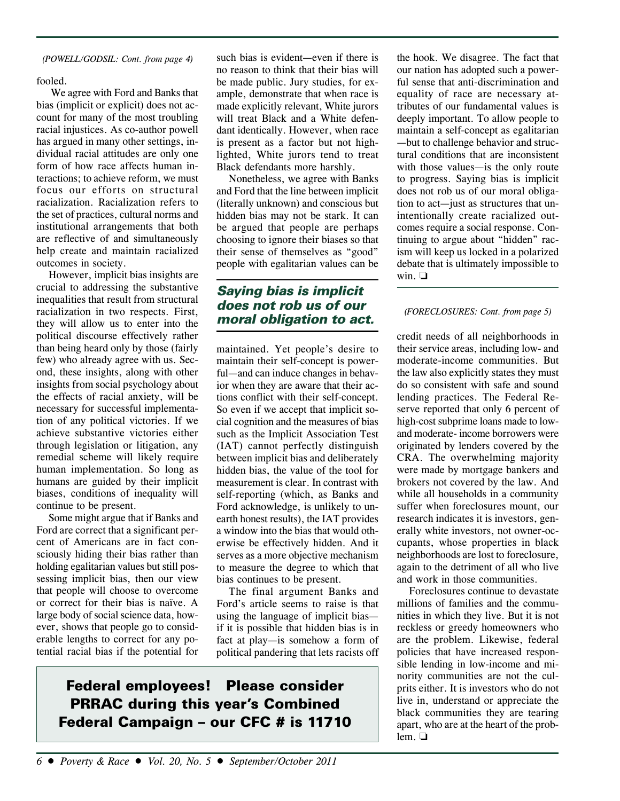#### *(POWELL/GODSIL: Cont. from page 4)*

fooled.

 We agree with Ford and Banks that bias (implicit or explicit) does not account for many of the most troubling racial injustices. As co-author powell has argued in many other settings, individual racial attitudes are only one form of how race affects human interactions; to achieve reform, we must focus our efforts on structural racialization. Racialization refers to the set of practices, cultural norms and institutional arrangements that both are reflective of and simultaneously help create and maintain racialized outcomes in society.

However, implicit bias insights are crucial to addressing the substantive inequalities that result from structural racialization in two respects. First, they will allow us to enter into the political discourse effectively rather than being heard only by those (fairly few) who already agree with us. Second, these insights, along with other insights from social psychology about the effects of racial anxiety, will be necessary for successful implementation of any political victories. If we achieve substantive victories either through legislation or litigation, any remedial scheme will likely require human implementation. So long as humans are guided by their implicit biases, conditions of inequality will continue to be present.

Some might argue that if Banks and Ford are correct that a significant percent of Americans are in fact consciously hiding their bias rather than holding egalitarian values but still possessing implicit bias, then our view that people will choose to overcome or correct for their bias is naïve. A large body of social science data, however, shows that people go to considerable lengths to correct for any potential racial bias if the potential for such bias is evident—even if there is no reason to think that their bias will be made public. Jury studies, for example, demonstrate that when race is made explicitly relevant, White jurors will treat Black and a White defendant identically. However, when race is present as a factor but not highlighted, White jurors tend to treat Black defendants more harshly.

Nonetheless, we agree with Banks and Ford that the line between implicit (literally unknown) and conscious but hidden bias may not be stark. It can be argued that people are perhaps choosing to ignore their biases so that their sense of themselves as "good" people with egalitarian values can be

## **Saying bias is implicit does not rob us of our moral obligation to act.**

maintained. Yet people's desire to maintain their self-concept is powerful—and can induce changes in behavior when they are aware that their actions conflict with their self-concept. So even if we accept that implicit social cognition and the measures of bias such as the Implicit Association Test (IAT) cannot perfectly distinguish between implicit bias and deliberately hidden bias, the value of the tool for measurement is clear. In contrast with self-reporting (which, as Banks and Ford acknowledge, is unlikely to unearth honest results), the IAT provides a window into the bias that would otherwise be effectively hidden. And it serves as a more objective mechanism to measure the degree to which that bias continues to be present.

The final argument Banks and Ford's article seems to raise is that using the language of implicit bias if it is possible that hidden bias is in fact at play—is somehow a form of political pandering that lets racists off

**Federal employees! Please consider PRRAC during this year's Combined Federal Campaign – our CFC # is 11710** the hook. We disagree. The fact that our nation has adopted such a powerful sense that anti-discrimination and equality of race are necessary attributes of our fundamental values is deeply important. To allow people to maintain a self-concept as egalitarian —but to challenge behavior and structural conditions that are inconsistent with those values—is the only route to progress. Saying bias is implicit does not rob us of our moral obligation to act—just as structures that unintentionally create racialized outcomes require a social response. Continuing to argue about "hidden" racism will keep us locked in a polarized debate that is ultimately impossible to win. ❏

#### *(FORECLOSURES: Cont. from page 5)*

credit needs of all neighborhoods in their service areas, including low- and moderate-income communities. But the law also explicitly states they must do so consistent with safe and sound lending practices. The Federal Reserve reported that only 6 percent of high-cost subprime loans made to lowand moderate- income borrowers were originated by lenders covered by the CRA. The overwhelming majority were made by mortgage bankers and brokers not covered by the law. And while all households in a community suffer when foreclosures mount, our research indicates it is investors, generally white investors, not owner-occupants, whose properties in black neighborhoods are lost to foreclosure, again to the detriment of all who live and work in those communities.

Foreclosures continue to devastate millions of families and the communities in which they live. But it is not reckless or greedy homeowners who are the problem. Likewise, federal policies that have increased responsible lending in low-income and minority communities are not the culprits either. It is investors who do not live in, understand or appreciate the black communities they are tearing apart, who are at the heart of the problem. ❏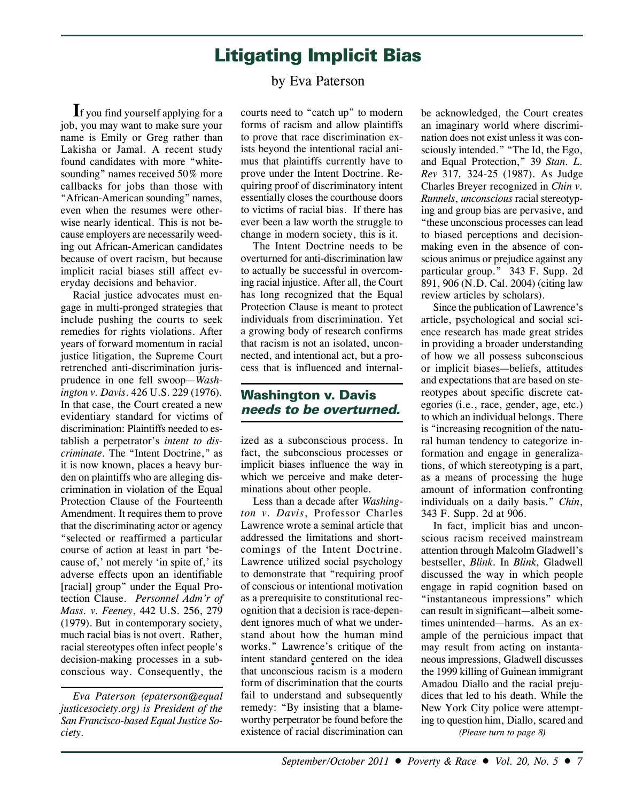# **Litigating Implicit Bias**

#### by Eva Paterson

**I**f you find yourself applying for a job, you may want to make sure your name is Emily or Greg rather than Lakisha or Jamal. A recent study found candidates with more "whitesounding" names received 50% more callbacks for jobs than those with "African-American sounding" names, even when the resumes were otherwise nearly identical. This is not because employers are necessarily weeding out African-American candidates because of overt racism, but because implicit racial biases still affect everyday decisions and behavior.

Racial justice advocates must engage in multi-pronged strategies that include pushing the courts to seek remedies for rights violations. After years of forward momentum in racial justice litigation, the Supreme Court retrenched anti-discrimination jurisprudence in one fell swoop—*Washington v. Davis*. 426 U.S. 229 (1976). In that case, the Court created a new evidentiary standard for victims of discrimination: Plaintiffs needed to establish a perpetrator's *intent to discriminate*. The "Intent Doctrine," as it is now known, places a heavy burden on plaintiffs who are alleging discrimination in violation of the Equal Protection Clause of the Fourteenth Amendment. It requires them to prove that the discriminating actor or agency "selected or reaffirmed a particular course of action at least in part 'because of,' not merely 'in spite of,' its adverse effects upon an identifiable [racial] group" under the Equal Protection Clause. *Personnel Adm'r of Mass. v. Feeney*, 442 U.S. 256, 279 (1979). But in contemporary society, much racial bias is not overt. Rather, racial stereotypes often infect people's decision-making processes in a subconscious way. Consequently, the

*Eva Paterson (epaterson@equal justicesociety.org) is President of the San Francisco-based Equal Justice Society.*

courts need to "catch up" to modern forms of racism and allow plaintiffs to prove that race discrimination exists beyond the intentional racial animus that plaintiffs currently have to prove under the Intent Doctrine. Requiring proof of discriminatory intent essentially closes the courthouse doors to victims of racial bias. If there has ever been a law worth the struggle to change in modern society, this is it.

The Intent Doctrine needs to be overturned for anti-discrimination law to actually be successful in overcoming racial injustice. After all, the Court has long recognized that the Equal Protection Clause is meant to protect individuals from discrimination. Yet a growing body of research confirms that racism is not an isolated, unconnected, and intentional act, but a process that is influenced and internal-

### **Washington v. Davis needs to be overturned.**

ized as a subconscious process. In fact, the subconscious processes or implicit biases influence the way in which we perceive and make determinations about other people.

Less than a decade after *Washington v. Davis*, Professor Charles Lawrence wrote a seminal article that addressed the limitations and shortcomings of the Intent Doctrine. Lawrence utilized social psychology to demonstrate that "requiring proof of conscious or intentional motivation as a prerequisite to constitutional recognition that a decision is race-dependent ignores much of what we understand about how the human mind works." Lawrence's critique of the intent standard centered on the idea that unconscious racism is a modern form of discrimination that the courts fail to understand and subsequently remedy: "By insisting that a blameworthy perpetrator be found before the existence of racial discrimination can

be acknowledged, the Court creates an imaginary world where discrimination does not exist unless it was consciously intended." "The Id, the Ego, and Equal Protection," 39 *Stan. L. Rev* 317*,* 324-25 (1987). As Judge Charles Breyer recognized in *Chin v. Runnels*, *unconscious* racial stereotyping and group bias are pervasive, and "these unconscious processes can lead to biased perceptions and decisionmaking even in the absence of conscious animus or prejudice against any particular group." 343 F. Supp. 2d 891, 906 (N.D. Cal. 2004) (citing law review articles by scholars).

Since the publication of Lawrence's article, psychological and social science research has made great strides in providing a broader understanding of how we all possess subconscious or implicit biases—beliefs, attitudes and expectations that are based on stereotypes about specific discrete categories (i.e., race, gender, age, etc.) to which an individual belongs. There is "increasing recognition of the natural human tendency to categorize information and engage in generalizations, of which stereotyping is a part, as a means of processing the huge amount of information confronting individuals on a daily basis." *Chin*, 343 F. Supp. 2d at 906.

In fact, implicit bias and unconscious racism received mainstream attention through Malcolm Gladwell's bestseller, *Blink*. In *Blink*, Gladwell discussed the way in which people engage in rapid cognition based on "instantaneous impressions" which can result in significant—albeit sometimes unintended—harms. As an example of the pernicious impact that may result from acting on instantaneous impressions, Gladwell discusses the 1999 killing of Guinean immigrant Amadou Diallo and the racial prejudices that led to his death. While the New York City police were attempting to question him, Diallo, scared and

*(Please turn to page 8)*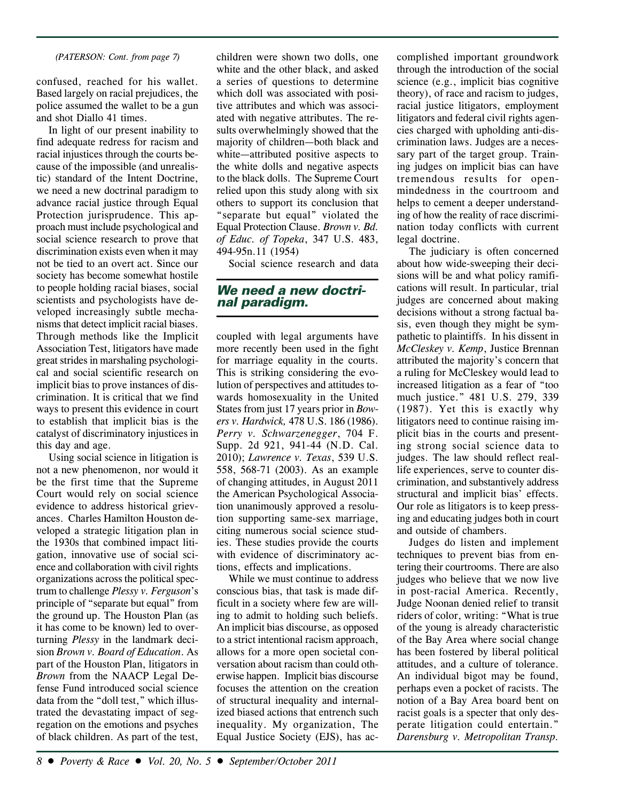#### *(PATERSON: Cont. from page 7)*

confused, reached for his wallet. Based largely on racial prejudices, the police assumed the wallet to be a gun and shot Diallo 41 times.

In light of our present inability to find adequate redress for racism and racial injustices through the courts because of the impossible (and unrealistic) standard of the Intent Doctrine, we need a new doctrinal paradigm to advance racial justice through Equal Protection jurisprudence. This approach must include psychological and social science research to prove that discrimination exists even when it may not be tied to an overt act. Since our society has become somewhat hostile to people holding racial biases, social scientists and psychologists have developed increasingly subtle mechanisms that detect implicit racial biases. Through methods like the Implicit Association Test, litigators have made great strides in marshaling psychological and social scientific research on implicit bias to prove instances of discrimination. It is critical that we find ways to present this evidence in court to establish that implicit bias is the catalyst of discriminatory injustices in this day and age.

Using social science in litigation is not a new phenomenon, nor would it be the first time that the Supreme Court would rely on social science evidence to address historical grievances. Charles Hamilton Houston developed a strategic litigation plan in the 1930s that combined impact litigation, innovative use of social science and collaboration with civil rights organizations across the political spectrum to challenge *Plessy v. Ferguson*'s principle of "separate but equal" from the ground up. The Houston Plan (as it has come to be known) led to overturning *Plessy* in the landmark decision *Brown v. Board of Education*. As part of the Houston Plan, litigators in *Brown* from the NAACP Legal Defense Fund introduced social science data from the "doll test," which illustrated the devastating impact of segregation on the emotions and psyches of black children. As part of the test,

children were shown two dolls, one white and the other black, and asked a series of questions to determine which doll was associated with positive attributes and which was associated with negative attributes. The results overwhelmingly showed that the majority of children—both black and white—attributed positive aspects to the white dolls and negative aspects to the black dolls. The Supreme Court relied upon this study along with six others to support its conclusion that "separate but equal" violated the Equal Protection Clause. *Brown v. Bd. of Educ. of Topeka*, 347 U.S. 483, 494-95n.11 (1954)

Social science research and data

#### **We need a new doctrinal paradigm.**

coupled with legal arguments have more recently been used in the fight for marriage equality in the courts. This is striking considering the evolution of perspectives and attitudes towards homosexuality in the United States from just 17 years prior in *Bowers v. Hardwick,* 478 U.S. 186 (1986). *Perry v. Schwarzenegger*, 704 F. Supp. 2d 921, 941-44 (N.D. Cal. 2010); *Lawrence v. Texas*, 539 U.S. 558, 568-71 (2003). As an example of changing attitudes, in August 2011 the American Psychological Association unanimously approved a resolution supporting same-sex marriage, citing numerous social science studies. These studies provide the courts with evidence of discriminatory actions, effects and implications.

While we must continue to address conscious bias, that task is made difficult in a society where few are willing to admit to holding such beliefs. An implicit bias discourse, as opposed to a strict intentional racism approach, allows for a more open societal conversation about racism than could otherwise happen. Implicit bias discourse focuses the attention on the creation of structural inequality and internalized biased actions that entrench such inequality. My organization, The Equal Justice Society (EJS), has accomplished important groundwork through the introduction of the social science (e.g., implicit bias cognitive theory), of race and racism to judges, racial justice litigators, employment litigators and federal civil rights agencies charged with upholding anti-discrimination laws. Judges are a necessary part of the target group. Training judges on implicit bias can have tremendous results for openmindedness in the courtroom and helps to cement a deeper understanding of how the reality of race discrimination today conflicts with current legal doctrine.

The judiciary is often concerned about how wide-sweeping their decisions will be and what policy ramifications will result. In particular, trial judges are concerned about making decisions without a strong factual basis, even though they might be sympathetic to plaintiffs. In his dissent in *McCleskey v. Kemp*, Justice Brennan attributed the majority's concern that a ruling for McCleskey would lead to increased litigation as a fear of "too much justice." 481 U.S. 279, 339 (1987). Yet this is exactly why litigators need to continue raising implicit bias in the courts and presenting strong social science data to judges. The law should reflect reallife experiences, serve to counter discrimination, and substantively address structural and implicit bias' effects. Our role as litigators is to keep pressing and educating judges both in court and outside of chambers.

Judges do listen and implement techniques to prevent bias from entering their courtrooms. There are also judges who believe that we now live in post-racial America. Recently, Judge Noonan denied relief to transit riders of color, writing: "What is true of the young is already characteristic of the Bay Area where social change has been fostered by liberal political attitudes, and a culture of tolerance. An individual bigot may be found, perhaps even a pocket of racists. The notion of a Bay Area board bent on racist goals is a specter that only desperate litigation could entertain." *Darensburg v. Metropolitan Transp.*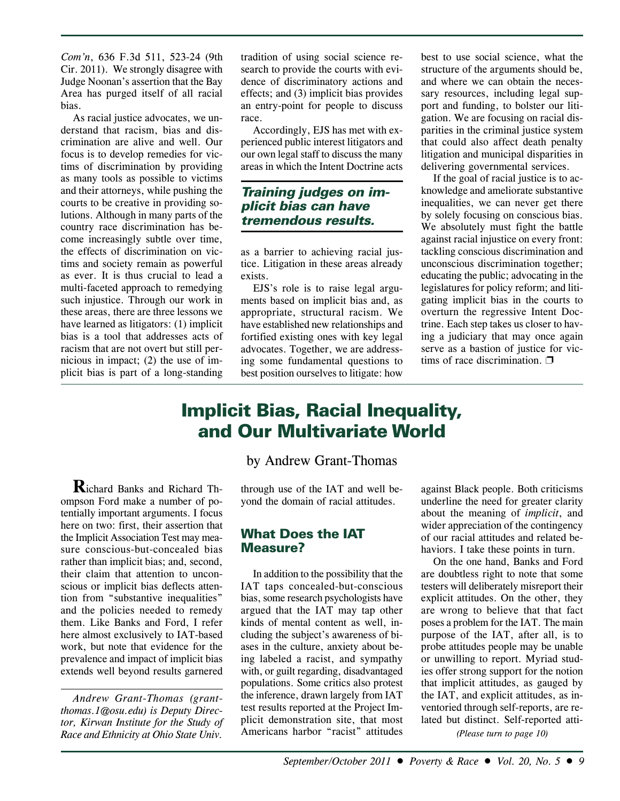*Com'n*, 636 F.3d 511, 523-24 (9th Cir. 2011). We strongly disagree with Judge Noonan's assertion that the Bay Area has purged itself of all racial bias.

As racial justice advocates, we understand that racism, bias and discrimination are alive and well. Our focus is to develop remedies for victims of discrimination by providing as many tools as possible to victims and their attorneys, while pushing the courts to be creative in providing solutions. Although in many parts of the country race discrimination has become increasingly subtle over time, the effects of discrimination on victims and society remain as powerful as ever. It is thus crucial to lead a multi-faceted approach to remedying such injustice. Through our work in these areas, there are three lessons we have learned as litigators: (1) implicit bias is a tool that addresses acts of racism that are not overt but still pernicious in impact; (2) the use of implicit bias is part of a long-standing

tradition of using social science research to provide the courts with evidence of discriminatory actions and effects; and (3) implicit bias provides an entry-point for people to discuss race.

Accordingly, EJS has met with experienced public interest litigators and our own legal staff to discuss the many areas in which the Intent Doctrine acts

#### **Training judges on implicit bias can have tremendous results.**

as a barrier to achieving racial justice. Litigation in these areas already exists.

EJS's role is to raise legal arguments based on implicit bias and, as appropriate, structural racism. We have established new relationships and fortified existing ones with key legal advocates. Together, we are addressing some fundamental questions to best position ourselves to litigate: how best to use social science, what the structure of the arguments should be, and where we can obtain the necessary resources, including legal support and funding, to bolster our litigation. We are focusing on racial disparities in the criminal justice system that could also affect death penalty litigation and municipal disparities in delivering governmental services.

If the goal of racial justice is to acknowledge and ameliorate substantive inequalities, we can never get there by solely focusing on conscious bias. We absolutely must fight the battle against racial injustice on every front: tackling conscious discrimination and unconscious discrimination together; educating the public; advocating in the legislatures for policy reform; and litigating implicit bias in the courts to overturn the regressive Intent Doctrine. Each step takes us closer to having a judiciary that may once again serve as a bastion of justice for victims of race discrimination.  $\Box$ 

# **Implicit Bias, Racial Inequality, and Our Multivariate World**

by Andrew Grant-Thomas

**R**ichard Banks and Richard Thompson Ford make a number of potentially important arguments. I focus here on two: first, their assertion that the Implicit Association Test may measure conscious-but-concealed bias rather than implicit bias; and, second, their claim that attention to unconscious or implicit bias deflects attention from "substantive inequalities" and the policies needed to remedy them. Like Banks and Ford, I refer here almost exclusively to IAT-based work, but note that evidence for the prevalence and impact of implicit bias extends well beyond results garnered

*Andrew Grant-Thomas (grantthomas.1@osu.edu) is Deputy Director, Kirwan Institute for the Study of Race and Ethnicity at Ohio State Univ.*

through use of the IAT and well beyond the domain of racial attitudes.

### **What Does the IAT Measure?**

In addition to the possibility that the IAT taps concealed-but-conscious bias, some research psychologists have argued that the IAT may tap other kinds of mental content as well, including the subject's awareness of biases in the culture, anxiety about being labeled a racist, and sympathy with, or guilt regarding, disadvantaged populations. Some critics also protest the inference, drawn largely from IAT test results reported at the Project Implicit demonstration site, that most Americans harbor "racist" attitudes

against Black people. Both criticisms underline the need for greater clarity about the meaning of *implicit*, and wider appreciation of the contingency of our racial attitudes and related behaviors. I take these points in turn.

On the one hand, Banks and Ford are doubtless right to note that some testers will deliberately misreport their explicit attitudes. On the other, they are wrong to believe that that fact poses a problem for the IAT. The main purpose of the IAT, after all, is to probe attitudes people may be unable or unwilling to report. Myriad studies offer strong support for the notion that implicit attitudes, as gauged by the IAT, and explicit attitudes, as inventoried through self-reports, are related but distinct. Self-reported atti-

*(Please turn to page 10)*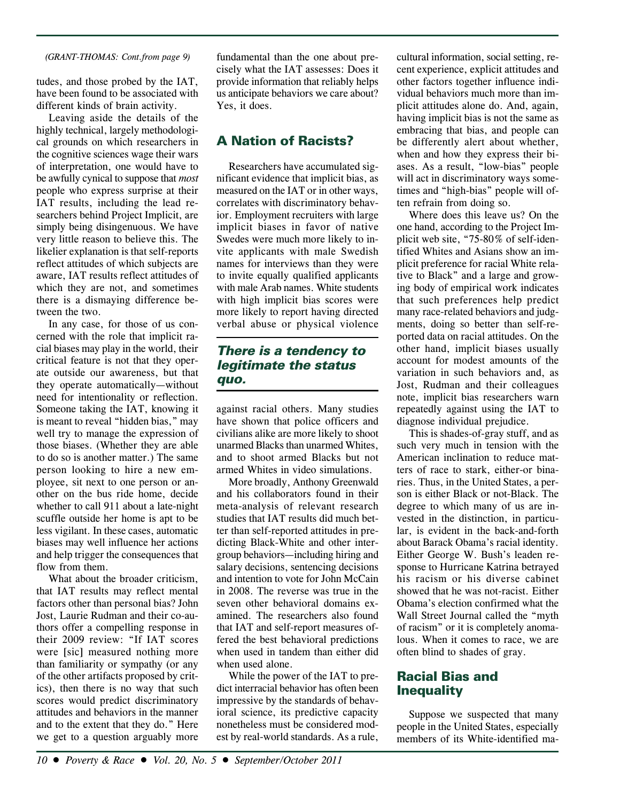#### *(GRANT-THOMAS: Cont.from page 9)*

tudes, and those probed by the IAT, have been found to be associated with different kinds of brain activity.

Leaving aside the details of the highly technical, largely methodological grounds on which researchers in the cognitive sciences wage their wars of interpretation, one would have to be awfully cynical to suppose that *most* people who express surprise at their IAT results, including the lead researchers behind Project Implicit, are simply being disingenuous. We have very little reason to believe this. The likelier explanation is that self-reports reflect attitudes of which subjects are aware, IAT results reflect attitudes of which they are not, and sometimes there is a dismaying difference between the two.

In any case, for those of us concerned with the role that implicit racial biases may play in the world, their critical feature is not that they operate outside our awareness, but that they operate automatically—without need for intentionality or reflection. Someone taking the IAT, knowing it is meant to reveal "hidden bias," may well try to manage the expression of those biases. (Whether they are able to do so is another matter.) The same person looking to hire a new employee, sit next to one person or another on the bus ride home, decide whether to call 911 about a late-night scuffle outside her home is apt to be less vigilant. In these cases, automatic biases may well influence her actions and help trigger the consequences that flow from them.

What about the broader criticism, that IAT results may reflect mental factors other than personal bias? John Jost, Laurie Rudman and their co-authors offer a compelling response in their 2009 review: "If IAT scores were [sic] measured nothing more than familiarity or sympathy (or any of the other artifacts proposed by critics), then there is no way that such scores would predict discriminatory attitudes and behaviors in the manner and to the extent that they do." Here we get to a question arguably more fundamental than the one about precisely what the IAT assesses: Does it provide information that reliably helps us anticipate behaviors we care about? Yes, it does.

## **A Nation of Racists?**

Researchers have accumulated significant evidence that implicit bias, as measured on the IAT or in other ways, correlates with discriminatory behavior. Employment recruiters with large implicit biases in favor of native Swedes were much more likely to invite applicants with male Swedish names for interviews than they were to invite equally qualified applicants with male Arab names. White students with high implicit bias scores were more likely to report having directed verbal abuse or physical violence

#### **There is a tendency to legitimate the status quo.**

against racial others. Many studies have shown that police officers and civilians alike are more likely to shoot unarmed Blacks than unarmed Whites, and to shoot armed Blacks but not armed Whites in video simulations.

More broadly, Anthony Greenwald and his collaborators found in their meta-analysis of relevant research studies that IAT results did much better than self-reported attitudes in predicting Black-White and other intergroup behaviors—including hiring and salary decisions, sentencing decisions and intention to vote for John McCain in 2008. The reverse was true in the seven other behavioral domains examined. The researchers also found that IAT and self-report measures offered the best behavioral predictions when used in tandem than either did when used alone.

While the power of the IAT to predict interracial behavior has often been impressive by the standards of behavioral science, its predictive capacity nonetheless must be considered modest by real-world standards. As a rule, cultural information, social setting, recent experience, explicit attitudes and other factors together influence individual behaviors much more than implicit attitudes alone do. And, again, having implicit bias is not the same as embracing that bias, and people can be differently alert about whether, when and how they express their biases. As a result, "low-bias" people will act in discriminatory ways sometimes and "high-bias" people will often refrain from doing so.

Where does this leave us? On the one hand, according to the Project Implicit web site, "75-80% of self-identified Whites and Asians show an implicit preference for racial White relative to Black" and a large and growing body of empirical work indicates that such preferences help predict many race-related behaviors and judgments, doing so better than self-reported data on racial attitudes. On the other hand, implicit biases usually account for modest amounts of the variation in such behaviors and, as Jost, Rudman and their colleagues note, implicit bias researchers warn repeatedly against using the IAT to diagnose individual prejudice.

This is shades-of-gray stuff, and as such very much in tension with the American inclination to reduce matters of race to stark, either-or binaries. Thus, in the United States, a person is either Black or not-Black. The degree to which many of us are invested in the distinction, in particular, is evident in the back-and-forth about Barack Obama's racial identity. Either George W. Bush's leaden response to Hurricane Katrina betrayed his racism or his diverse cabinet showed that he was not-racist. Either Obama's election confirmed what the Wall Street Journal called the "myth of racism" or it is completely anomalous. When it comes to race, we are often blind to shades of gray.

### **Racial Bias and Inequality**

Suppose we suspected that many people in the United States, especially members of its White-identified ma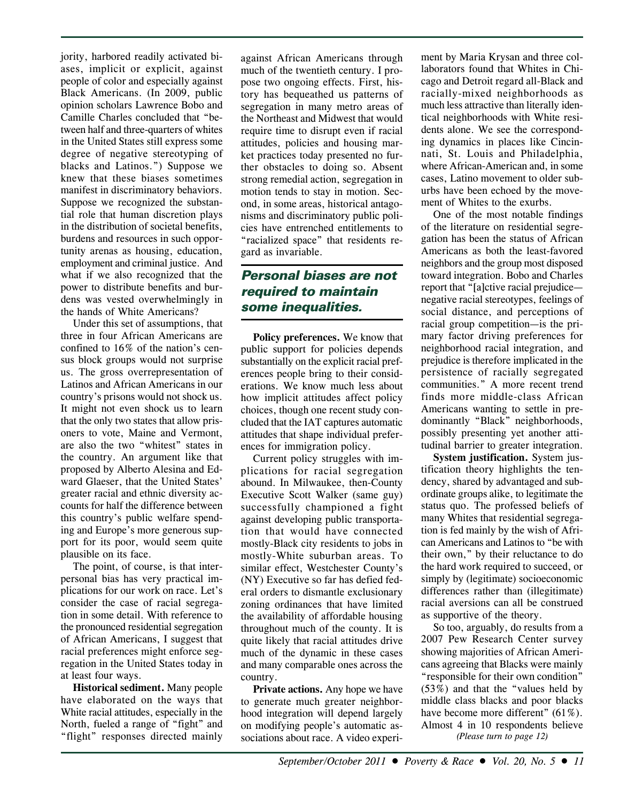jority, harbored readily activated biases, implicit or explicit, against people of color and especially against Black Americans. (In 2009, public opinion scholars Lawrence Bobo and Camille Charles concluded that "between half and three-quarters of whites in the United States still express some degree of negative stereotyping of blacks and Latinos.") Suppose we knew that these biases sometimes manifest in discriminatory behaviors. Suppose we recognized the substantial role that human discretion plays in the distribution of societal benefits, burdens and resources in such opportunity arenas as housing, education, employment and criminal justice. And what if we also recognized that the power to distribute benefits and burdens was vested overwhelmingly in the hands of White Americans?

Under this set of assumptions, that three in four African Americans are confined to 16% of the nation's census block groups would not surprise us. The gross overrepresentation of Latinos and African Americans in our country's prisons would not shock us. It might not even shock us to learn that the only two states that allow prisoners to vote, Maine and Vermont, are also the two "whitest" states in the country. An argument like that proposed by Alberto Alesina and Edward Glaeser, that the United States' greater racial and ethnic diversity accounts for half the difference between this country's public welfare spending and Europe's more generous support for its poor, would seem quite plausible on its face.

The point, of course, is that interpersonal bias has very practical implications for our work on race. Let's consider the case of racial segregation in some detail. With reference to the pronounced residential segregation of African Americans, I suggest that racial preferences might enforce segregation in the United States today in at least four ways.

**Historical sediment.** Many people have elaborated on the ways that White racial attitudes, especially in the North, fueled a range of "fight" and "flight" responses directed mainly

against African Americans through much of the twentieth century. I propose two ongoing effects. First, history has bequeathed us patterns of segregation in many metro areas of the Northeast and Midwest that would require time to disrupt even if racial attitudes, policies and housing market practices today presented no further obstacles to doing so. Absent strong remedial action, segregation in motion tends to stay in motion. Second, in some areas, historical antagonisms and discriminatory public policies have entrenched entitlements to "racialized space" that residents regard as invariable.

## **Personal biases are not required to maintain some inequalities.**

**Policy preferences.** We know that public support for policies depends substantially on the explicit racial preferences people bring to their considerations. We know much less about how implicit attitudes affect policy choices, though one recent study concluded that the IAT captures automatic attitudes that shape individual preferences for immigration policy.

Current policy struggles with implications for racial segregation abound. In Milwaukee, then-County Executive Scott Walker (same guy) successfully championed a fight against developing public transportation that would have connected mostly-Black city residents to jobs in mostly-White suburban areas. To similar effect, Westchester County's (NY) Executive so far has defied federal orders to dismantle exclusionary zoning ordinances that have limited the availability of affordable housing throughout much of the county. It is quite likely that racial attitudes drive much of the dynamic in these cases and many comparable ones across the country.

**Private actions.** Any hope we have to generate much greater neighborhood integration will depend largely on modifying people's automatic associations about race. A video experiment by Maria Krysan and three collaborators found that Whites in Chicago and Detroit regard all-Black and racially-mixed neighborhoods as much less attractive than literally identical neighborhoods with White residents alone. We see the corresponding dynamics in places like Cincinnati, St. Louis and Philadelphia, where African-American and, in some cases, Latino movement to older suburbs have been echoed by the movement of Whites to the exurbs.

One of the most notable findings of the literature on residential segregation has been the status of African Americans as both the least-favored neighbors and the group most disposed toward integration. Bobo and Charles report that "[a]ctive racial prejudice negative racial stereotypes, feelings of social distance, and perceptions of racial group competition—is the primary factor driving preferences for neighborhood racial integration, and prejudice is therefore implicated in the persistence of racially segregated communities." A more recent trend finds more middle-class African Americans wanting to settle in predominantly "Black" neighborhoods, possibly presenting yet another attitudinal barrier to greater integration.

**System justification.** System justification theory highlights the tendency, shared by advantaged and subordinate groups alike, to legitimate the status quo. The professed beliefs of many Whites that residential segregation is fed mainly by the wish of African Americans and Latinos to "be with their own," by their reluctance to do the hard work required to succeed, or simply by (legitimate) socioeconomic differences rather than (illegitimate) racial aversions can all be construed as supportive of the theory.

*(Please turn to page 12)* So too, arguably, do results from a 2007 Pew Research Center survey showing majorities of African Americans agreeing that Blacks were mainly "responsible for their own condition" (53%) and that the "values held by middle class blacks and poor blacks have become more different" (61%). Almost 4 in 10 respondents believe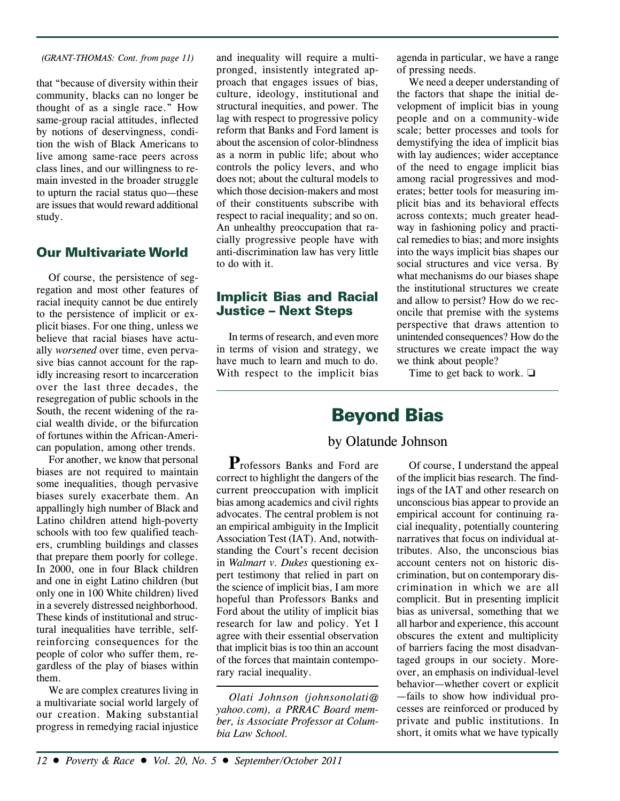#### *(GRANT-THOMAS: Cont. from page 11)*

that "because of diversity within their community, blacks can no longer be thought of as a single race." How same-group racial attitudes, inflected by notions of deservingness, condition the wish of Black Americans to live among same-race peers across class lines, and our willingness to remain invested in the broader struggle to upturn the racial status quo—these are issues that would reward additional study.

### **Our Multivariate World**

Of course, the persistence of segregation and most other features of racial inequity cannot be due entirely to the persistence of implicit or explicit biases. For one thing, unless we believe that racial biases have actually *worsened* over time, even pervasive bias cannot account for the rapidly increasing resort to incarceration over the last three decades, the resegregation of public schools in the South, the recent widening of the racial wealth divide, or the bifurcation of fortunes within the African-American population, among other trends.

For another, we know that personal biases are not required to maintain some inequalities, though pervasive biases surely exacerbate them. An appallingly high number of Black and Latino children attend high-poverty schools with too few qualified teachers, crumbling buildings and classes that prepare them poorly for college. In 2000, one in four Black children and one in eight Latino children (but only one in 100 White children) lived in a severely distressed neighborhood. These kinds of institutional and structural inequalities have terrible, selfreinforcing consequences for the people of color who suffer them, regardless of the play of biases within them.

We are complex creatures living in a multivariate social world largely of our creation. Making substantial progress in remedying racial injustice and inequality will require a multipronged, insistently integrated approach that engages issues of bias, culture, ideology, institutional and structural inequities, and power. The lag with respect to progressive policy reform that Banks and Ford lament is about the ascension of color-blindness as a norm in public life; about who controls the policy levers, and who does not; about the cultural models to which those decision-makers and most of their constituents subscribe with respect to racial inequality; and so on. An unhealthy preoccupation that racially progressive people have with anti-discrimination law has very little to do with it.

#### **Implicit Bias and Racial Justice – Next Steps**

In terms of research, and even more in terms of vision and strategy, we have much to learn and much to do. With respect to the implicit bias agenda in particular, we have a range of pressing needs.

We need a deeper understanding of the factors that shape the initial development of implicit bias in young people and on a community-wide scale; better processes and tools for demystifying the idea of implicit bias with lay audiences; wider acceptance of the need to engage implicit bias among racial progressives and moderates; better tools for measuring implicit bias and its behavioral effects across contexts; much greater headway in fashioning policy and practical remedies to bias; and more insights into the ways implicit bias shapes our social structures and vice versa. By what mechanisms do our biases shape the institutional structures we create and allow to persist? How do we reconcile that premise with the systems perspective that draws attention to unintended consequences? How do the structures we create impact the way we think about people?

Time to get back to work. ❏

# **Beyond Bias**

## by Olatunde Johnson

**P**rofessors Banks and Ford are correct to highlight the dangers of the current preoccupation with implicit bias among academics and civil rights advocates. The central problem is not an empirical ambiguity in the Implicit Association Test (IAT). And, notwithstanding the Court's recent decision in *Walmart v. Dukes* questioning expert testimony that relied in part on the science of implicit bias, I am more hopeful than Professors Banks and Ford about the utility of implicit bias research for law and policy. Yet I agree with their essential observation that implicit bias is too thin an account of the forces that maintain contemporary racial inequality.

*Olati Johnson (johnsonolati@ yahoo.com), a PRRAC Board member, is Associate Professor at Columbia Law School.*

Of course, I understand the appeal of the implicit bias research. The findings of the IAT and other research on unconscious bias appear to provide an empirical account for continuing racial inequality, potentially countering narratives that focus on individual attributes. Also, the unconscious bias account centers not on historic discrimination, but on contemporary discrimination in which we are all complicit. But in presenting implicit bias as universal, something that we all harbor and experience, this account obscures the extent and multiplicity of barriers facing the most disadvantaged groups in our society. Moreover, an emphasis on individual-level behavior—whether covert or explicit —fails to show how individual processes are reinforced or produced by private and public institutions. In short, it omits what we have typically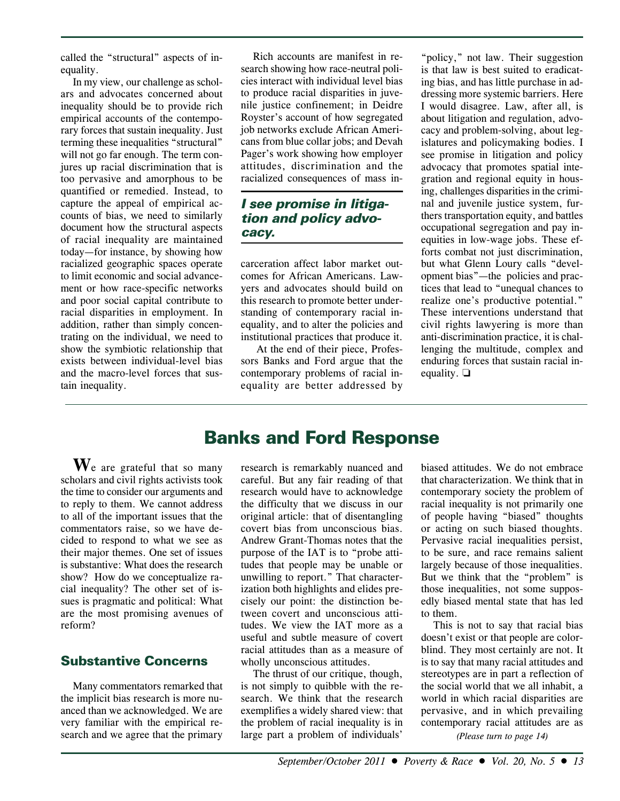called the "structural" aspects of inequality.

In my view, our challenge as scholars and advocates concerned about inequality should be to provide rich empirical accounts of the contemporary forces that sustain inequality. Just terming these inequalities "structural" will not go far enough. The term conjures up racial discrimination that is too pervasive and amorphous to be quantified or remedied. Instead, to capture the appeal of empirical accounts of bias, we need to similarly document how the structural aspects of racial inequality are maintained today—for instance, by showing how racialized geographic spaces operate to limit economic and social advancement or how race-specific networks and poor social capital contribute to racial disparities in employment. In addition, rather than simply concentrating on the individual, we need to show the symbiotic relationship that exists between individual-level bias and the macro-level forces that sustain inequality.

Rich accounts are manifest in research showing how race-neutral policies interact with individual level bias to produce racial disparities in juvenile justice confinement; in Deidre Royster's account of how segregated job networks exclude African Americans from blue collar jobs; and Devah Pager's work showing how employer attitudes, discrimination and the racialized consequences of mass in-

#### **I see promise in litigation and policy advocacy.**

carceration affect labor market outcomes for African Americans. Lawyers and advocates should build on this research to promote better understanding of contemporary racial inequality, and to alter the policies and institutional practices that produce it.

 At the end of their piece, Professors Banks and Ford argue that the contemporary problems of racial inequality are better addressed by

"policy," not law. Their suggestion is that law is best suited to eradicating bias, and has little purchase in addressing more systemic barriers. Here I would disagree. Law, after all, is about litigation and regulation, advocacy and problem-solving, about legislatures and policymaking bodies. I see promise in litigation and policy advocacy that promotes spatial integration and regional equity in housing, challenges disparities in the criminal and juvenile justice system, furthers transportation equity, and battles occupational segregation and pay inequities in low-wage jobs. These efforts combat not just discrimination, but what Glenn Loury calls "development bias"—the policies and practices that lead to "unequal chances to realize one's productive potential." These interventions understand that civil rights lawyering is more than anti-discrimination practice, it is challenging the multitude, complex and enduring forces that sustain racial inequality. ❏

We are grateful that so many scholars and civil rights activists took the time to consider our arguments and to reply to them. We cannot address to all of the important issues that the commentators raise, so we have decided to respond to what we see as their major themes. One set of issues is substantive: What does the research show? How do we conceptualize racial inequality? The other set of issues is pragmatic and political: What are the most promising avenues of reform?

#### **Substantive Concerns**

Many commentators remarked that the implicit bias research is more nuanced than we acknowledged. We are very familiar with the empirical research and we agree that the primary

# **Banks and Ford Response**

research is remarkably nuanced and careful. But any fair reading of that research would have to acknowledge the difficulty that we discuss in our original article: that of disentangling covert bias from unconscious bias. Andrew Grant-Thomas notes that the purpose of the IAT is to "probe attitudes that people may be unable or unwilling to report." That characterization both highlights and elides precisely our point: the distinction between covert and unconscious attitudes. We view the IAT more as a useful and subtle measure of covert racial attitudes than as a measure of wholly unconscious attitudes.

The thrust of our critique, though, is not simply to quibble with the research. We think that the research exemplifies a widely shared view: that the problem of racial inequality is in large part a problem of individuals'

biased attitudes. We do not embrace that characterization. We think that in contemporary society the problem of racial inequality is not primarily one of people having "biased" thoughts or acting on such biased thoughts. Pervasive racial inequalities persist, to be sure, and race remains salient largely because of those inequalities. But we think that the "problem" is those inequalities, not some supposedly biased mental state that has led to them.

This is not to say that racial bias doesn't exist or that people are colorblind. They most certainly are not. It is to say that many racial attitudes and stereotypes are in part a reflection of the social world that we all inhabit, a world in which racial disparities are pervasive, and in which prevailing contemporary racial attitudes are as

*(Please turn to page 14)*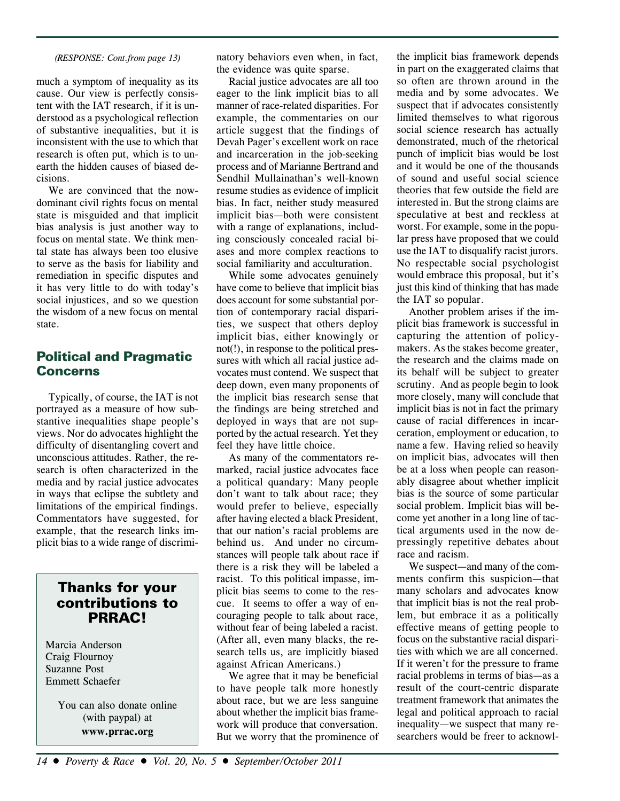#### *(RESPONSE: Cont.from page 13)*

much a symptom of inequality as its cause. Our view is perfectly consistent with the IAT research, if it is understood as a psychological reflection of substantive inequalities, but it is inconsistent with the use to which that research is often put, which is to unearth the hidden causes of biased decisions.

We are convinced that the nowdominant civil rights focus on mental state is misguided and that implicit bias analysis is just another way to focus on mental state. We think mental state has always been too elusive to serve as the basis for liability and remediation in specific disputes and it has very little to do with today's social injustices, and so we question the wisdom of a new focus on mental state.

### **Political and Pragmatic Concerns**

Typically, of course, the IAT is not portrayed as a measure of how substantive inequalities shape people's views. Nor do advocates highlight the difficulty of disentangling covert and unconscious attitudes. Rather, the research is often characterized in the media and by racial justice advocates in ways that eclipse the subtlety and limitations of the empirical findings. Commentators have suggested, for example, that the research links implicit bias to a wide range of discrimi-

### **Thanks for your contributions to PRRAC!**

Marcia Anderson Craig Flournoy Suzanne Post Emmett Schaefer

> You can also donate online (with paypal) at **www.prrac.org**

natory behaviors even when, in fact, the evidence was quite sparse.

Racial justice advocates are all too eager to the link implicit bias to all manner of race-related disparities. For example, the commentaries on our article suggest that the findings of Devah Pager's excellent work on race and incarceration in the job-seeking process and of Marianne Bertrand and Sendhil Mullainathan's well-known resume studies as evidence of implicit bias. In fact, neither study measured implicit bias—both were consistent with a range of explanations, including consciously concealed racial biases and more complex reactions to social familiarity and acculturation.

While some advocates genuinely have come to believe that implicit bias does account for some substantial portion of contemporary racial disparities, we suspect that others deploy implicit bias, either knowingly or not(!), in response to the political pressures with which all racial justice advocates must contend. We suspect that deep down, even many proponents of the implicit bias research sense that the findings are being stretched and deployed in ways that are not supported by the actual research. Yet they feel they have little choice.

As many of the commentators remarked, racial justice advocates face a political quandary: Many people don't want to talk about race; they would prefer to believe, especially after having elected a black President, that our nation's racial problems are behind us. And under no circumstances will people talk about race if there is a risk they will be labeled a racist. To this political impasse, implicit bias seems to come to the rescue. It seems to offer a way of encouraging people to talk about race, without fear of being labeled a racist. (After all, even many blacks, the research tells us, are implicitly biased against African Americans.)

We agree that it may be beneficial to have people talk more honestly about race, but we are less sanguine about whether the implicit bias framework will produce that conversation. But we worry that the prominence of the implicit bias framework depends in part on the exaggerated claims that so often are thrown around in the media and by some advocates. We suspect that if advocates consistently limited themselves to what rigorous social science research has actually demonstrated, much of the rhetorical punch of implicit bias would be lost and it would be one of the thousands of sound and useful social science theories that few outside the field are interested in. But the strong claims are speculative at best and reckless at worst. For example, some in the popular press have proposed that we could use the IAT to disqualify racist jurors. No respectable social psychologist would embrace this proposal, but it's just this kind of thinking that has made the IAT so popular.

Another problem arises if the implicit bias framework is successful in capturing the attention of policymakers. As the stakes become greater, the research and the claims made on its behalf will be subject to greater scrutiny. And as people begin to look more closely, many will conclude that implicit bias is not in fact the primary cause of racial differences in incarceration, employment or education, to name a few. Having relied so heavily on implicit bias, advocates will then be at a loss when people can reasonably disagree about whether implicit bias is the source of some particular social problem. Implicit bias will become yet another in a long line of tactical arguments used in the now depressingly repetitive debates about race and racism.

We suspect—and many of the comments confirm this suspicion—that many scholars and advocates know that implicit bias is not the real problem, but embrace it as a politically effective means of getting people to focus on the substantive racial disparities with which we are all concerned. If it weren't for the pressure to frame racial problems in terms of bias—as a result of the court-centric disparate treatment framework that animates the legal and political approach to racial inequality—we suspect that many researchers would be freer to acknowl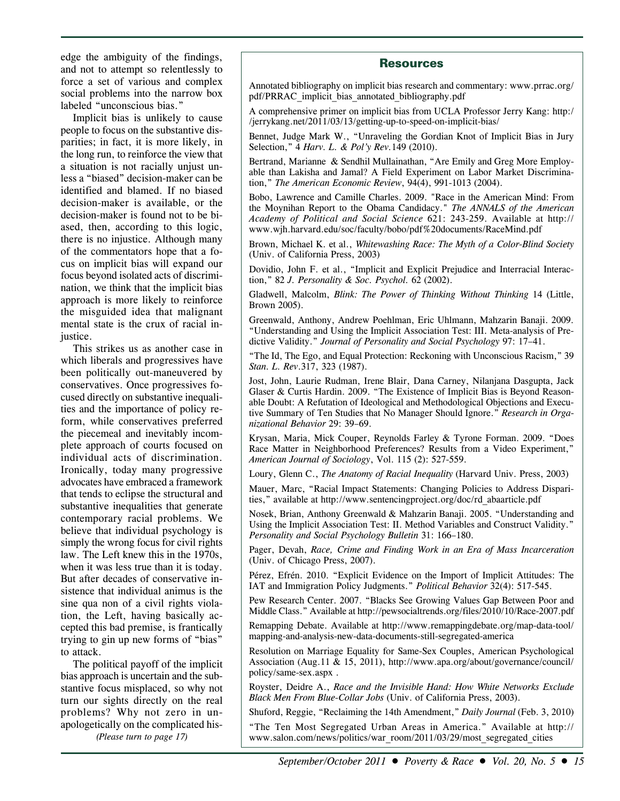edge the ambiguity of the findings, and not to attempt so relentlessly to force a set of various and complex social problems into the narrow box labeled "unconscious bias."

Implicit bias is unlikely to cause people to focus on the substantive disparities; in fact, it is more likely, in the long run, to reinforce the view that a situation is not racially unjust unless a "biased" decision-maker can be identified and blamed. If no biased decision-maker is available, or the decision-maker is found not to be biased, then, according to this logic, there is no injustice. Although many of the commentators hope that a focus on implicit bias will expand our focus beyond isolated acts of discrimination, we think that the implicit bias approach is more likely to reinforce the misguided idea that malignant mental state is the crux of racial injustice.

This strikes us as another case in which liberals and progressives have been politically out-maneuvered by conservatives. Once progressives focused directly on substantive inequalities and the importance of policy reform, while conservatives preferred the piecemeal and inevitably incomplete approach of courts focused on individual acts of discrimination. Ironically, today many progressive advocates have embraced a framework that tends to eclipse the structural and substantive inequalities that generate contemporary racial problems. We believe that individual psychology is simply the wrong focus for civil rights law. The Left knew this in the 1970s, when it was less true than it is today. But after decades of conservative insistence that individual animus is the sine qua non of a civil rights violation, the Left, having basically accepted this bad premise, is frantically trying to gin up new forms of "bias" to attack.

The political payoff of the implicit bias approach is uncertain and the substantive focus misplaced, so why not turn our sights directly on the real problems? Why not zero in unapologetically on the complicated his-

*(Please turn to page 17)*

#### **Resources**

Annotated bibliography on implicit bias research and commentary: www.prrac.org/ pdf/PRRAC\_implicit\_bias\_annotated\_bibliography.pdf

A comprehensive primer on implicit bias from UCLA Professor Jerry Kang: http:/ /jerrykang.net/2011/03/13/getting-up-to-speed-on-implicit-bias/

Bennet, Judge Mark W., "Unraveling the Gordian Knot of Implicit Bias in Jury Selection," 4 *Harv. L. & Pol'y Rev.*149 (2010).

Bertrand, Marianne & Sendhil Mullainathan, "Are Emily and Greg More Employable than Lakisha and Jamal? A Field Experiment on Labor Market Discrimination," *The American Economic Review*, 94(4), 991-1013 (2004).

Bobo, Lawrence and Camille Charles. 2009. "Race in the American Mind: From the Moynihan Report to the Obama Candidacy." *The ANNALS of the American Academy of Political and Social Science* 621: 243-259. Available at http:// www.wjh.harvard.edu/soc/faculty/bobo/pdf%20documents/RaceMind.pdf

Brown, Michael K. et al., *Whitewashing Race: The Myth of a Color-Blind Society* (Univ. of California Press, 2003)

Dovidio, John F. et al., "Implicit and Explicit Prejudice and Interracial Interaction," 82 *J. Personality & Soc. Psychol.* 62 (2002).

Gladwell, Malcolm, *Blink: The Power of Thinking Without Thinking* 14 (Little, Brown 2005).

Greenwald, Anthony, Andrew Poehlman, Eric Uhlmann, Mahzarin Banaji. 2009. "Understanding and Using the Implicit Association Test: III. Meta-analysis of Predictive Validity." *Journal of Personality and Social Psychology* 97: 17–41.

"The Id, The Ego, and Equal Protection: Reckoning with Unconscious Racism," 39 *Stan. L. Rev*.317, 323 (1987).

Jost, John, Laurie Rudman, Irene Blair, Dana Carney, Nilanjana Dasgupta, Jack Glaser & Curtis Hardin. 2009. "The Existence of Implicit Bias is Beyond Reasonable Doubt: A Refutation of Ideological and Methodological Objections and Executive Summary of Ten Studies that No Manager Should Ignore." *Research in Organizational Behavior* 29: 39–69.

Krysan, Maria, Mick Couper, Reynolds Farley & Tyrone Forman. 2009. "Does Race Matter in Neighborhood Preferences? Results from a Video Experiment," *American Journal of Sociology*, Vol. 115 (2): 527-559.

Loury, Glenn C., *The Anatomy of Racial Inequality* (Harvard Univ. Press, 2003)

Mauer, Marc, "Racial Impact Statements: Changing Policies to Address Disparities," available at http://www.sentencingproject.org/doc/rd\_abaarticle.pdf

Nosek, Brian, Anthony Greenwald & Mahzarin Banaji. 2005. "Understanding and Using the Implicit Association Test: II. Method Variables and Construct Validity." *Personality and Social Psychology Bulletin* 31: 166–180.

Pager, Devah, *Race, Crime and Finding Work in an Era of Mass Incarceration* (Univ. of Chicago Press, 2007).

Pérez, Efrén. 2010. "Explicit Evidence on the Import of Implicit Attitudes: The IAT and Immigration Policy Judgments." *Political Behavior* 32(4): 517-545.

Pew Research Center. 2007. "Blacks See Growing Values Gap Between Poor and Middle Class." Available at http://pewsocialtrends.org/files/2010/10/Race-2007.pdf

Remapping Debate. Available at http://www.remappingdebate.org/map-data-tool/ mapping-and-analysis-new-data-documents-still-segregated-america

Resolution on Marriage Equality for Same-Sex Couples, American Psychological Association (Aug.11 & 15, 2011), http://www.apa.org/about/governance/council/ policy/same-sex.aspx .

Royster, Deidre A., *Race and the Invisible Hand: How White Networks Exclude Black Men From Blue-Collar Jobs* (Univ. of California Press, 2003).

Shuford, Reggie, "Reclaiming the 14th Amendment," *Daily Journal* (Feb. 3, 2010)

"The Ten Most Segregated Urban Areas in America." Available at http:// www.salon.com/news/politics/war\_room/2011/03/29/most\_segregated\_cities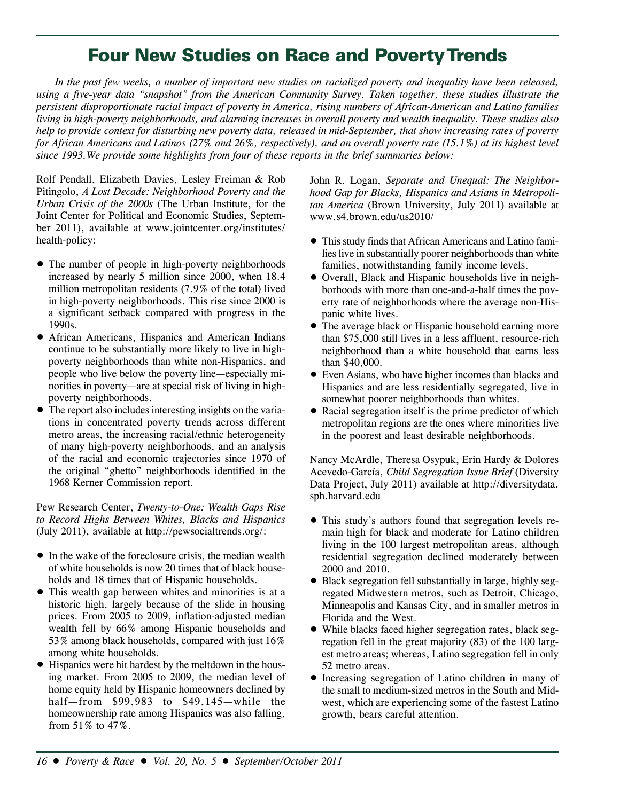# **Four New Studies on Race and Poverty Trends**

*In the past few weeks, a number of important new studies on racialized poverty and inequality have been released, using a five-year data "snapshot" from the American Community Survey. Taken together, these studies illustrate the persistent disproportionate racial impact of poverty in America, rising numbers of African-American and Latino families living in high-poverty neighborhoods, and alarming increases in overall poverty and wealth inequality. These studies also help to provide context for disturbing new poverty data, released in mid-September, that show increasing rates of poverty for African Americans and Latinos (27% and 26%, respectively), and an overall poverty rate (15.1%) at its highest level since 1993.We provide some highlights from four of these reports in the brief summaries below:*

Rolf Pendall, Elizabeth Davies, Lesley Freiman & Rob Pitingolo, *A Lost Decade: Neighborhood Poverty and the Urban Crisis of the 2000s* (The Urban Institute, for the Joint Center for Political and Economic Studies, September 2011), available at www.jointcenter.org/institutes/ health-policy:

- The number of people in high-poverty neighborhoods increased by nearly 5 million since 2000, when 18.4 million metropolitan residents (7.9% of the total) lived in high-poverty neighborhoods. This rise since 2000 is a significant setback compared with progress in the 1990s.
- African Americans, Hispanics and American Indians continue to be substantially more likely to live in highpoverty neighborhoods than white non-Hispanics, and people who live below the poverty line—especially minorities in poverty—are at special risk of living in highpoverty neighborhoods.
- The report also includes interesting insights on the variations in concentrated poverty trends across different metro areas, the increasing racial/ethnic heterogeneity of many high-poverty neighborhoods, and an analysis of the racial and economic trajectories since 1970 of the original "ghetto" neighborhoods identified in the 1968 Kerner Commission report.

Pew Research Center, *Twenty-to-One: Wealth Gaps Rise to Record Highs Between Whites, Blacks and Hispanics* (July 2011), available at http://pewsocialtrends.org/:

- In the wake of the foreclosure crisis, the median wealth of white households is now 20 times that of black households and 18 times that of Hispanic households.
- This wealth gap between whites and minorities is at a historic high, largely because of the slide in housing prices. From 2005 to 2009, inflation-adjusted median wealth fell by 66% among Hispanic households and 53% among black households, compared with just 16% among white households.
- Hispanics were hit hardest by the meltdown in the housing market. From 2005 to 2009, the median level of home equity held by Hispanic homeowners declined by half—from \$99,983 to \$49,145—while the homeownership rate among Hispanics was also falling, from 51% to 47%.

John R. Logan, *Separate and Unequal: The Neighborhood Gap for Blacks, Hispanics and Asians in Metropolitan America* (Brown University, July 2011) available at www.s4.brown.edu/us2010/

- This study finds that African Americans and Latino families live in substantially poorer neighborhoods than white families, notwithstanding family income levels.
- Overall, Black and Hispanic households live in neighborhoods with more than one-and-a-half times the poverty rate of neighborhoods where the average non-Hispanic white lives.
- The average black or Hispanic household earning more than \$75,000 still lives in a less affluent, resource-rich neighborhood than a white household that earns less than \$40,000.
- Even Asians, who have higher incomes than blacks and Hispanics and are less residentially segregated, live in somewhat poorer neighborhoods than whites.
- Racial segregation itself is the prime predictor of which metropolitan regions are the ones where minorities live in the poorest and least desirable neighborhoods.

Nancy McArdle, Theresa Osypuk, Erin Hardy & Dolores Acevedo-García, *Child Segregation Issue Brief* (Diversity Data Project, July 2011) available at http://diversitydata. sph.harvard.edu

- This study's authors found that segregation levels remain high for black and moderate for Latino children living in the 100 largest metropolitan areas, although residential segregation declined moderately between 2000 and 2010.
- Black segregation fell substantially in large, highly segregated Midwestern metros, such as Detroit, Chicago, Minneapolis and Kansas City, and in smaller metros in Florida and the West.
- While blacks faced higher segregation rates, black segregation fell in the great majority (83) of the 100 largest metro areas; whereas, Latino segregation fell in only 52 metro areas.
- Increasing segregation of Latino children in many of the small to medium-sized metros in the South and Midwest, which are experiencing some of the fastest Latino growth, bears careful attention.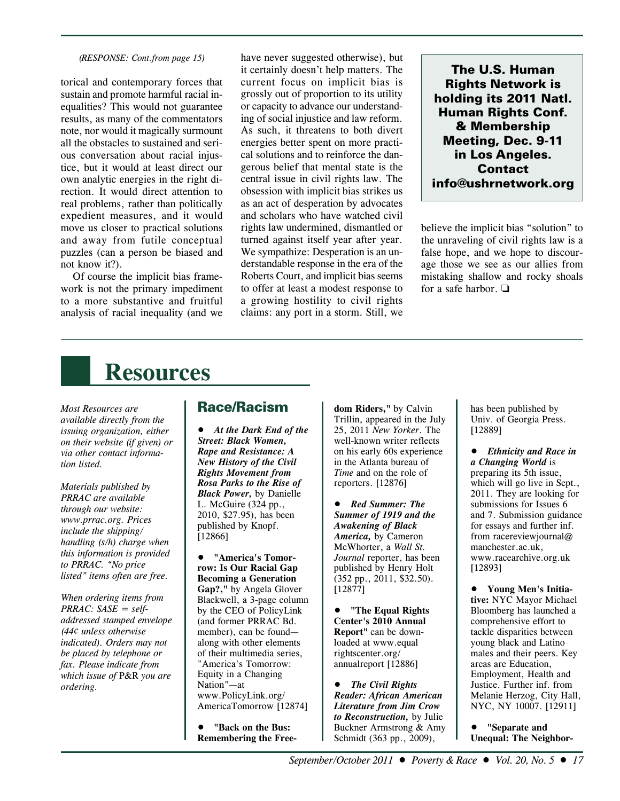#### *(RESPONSE: Cont.from page 15)*

torical and contemporary forces that sustain and promote harmful racial inequalities? This would not guarantee results, as many of the commentators note, nor would it magically surmount all the obstacles to sustained and serious conversation about racial injustice, but it would at least direct our own analytic energies in the right direction. It would direct attention to real problems, rather than politically expedient measures, and it would move us closer to practical solutions and away from futile conceptual puzzles (can a person be biased and not know it?).

Of course the implicit bias framework is not the primary impediment to a more substantive and fruitful analysis of racial inequality (and we

have never suggested otherwise), but it certainly doesn't help matters. The current focus on implicit bias is grossly out of proportion to its utility or capacity to advance our understanding of social injustice and law reform. As such, it threatens to both divert energies better spent on more practical solutions and to reinforce the dangerous belief that mental state is the central issue in civil rights law. The obsession with implicit bias strikes us as an act of desperation by advocates and scholars who have watched civil rights law undermined, dismantled or turned against itself year after year. We sympathize: Desperation is an understandable response in the era of the Roberts Court, and implicit bias seems to offer at least a modest response to a growing hostility to civil rights claims: any port in a storm. Still, we

**The U.S. Human Rights Network is holding its 2011 Natl. Human Rights Conf. & Membership Meeting, Dec. 9-11 in Los Angeles. Contact info@ushrnetwork.org**

believe the implicit bias "solution" to the unraveling of civil rights law is a false hope, and we hope to discourage those we see as our allies from mistaking shallow and rocky shoals for a safe harbor. ❏

# **Resources**

*Most Resources are available directly from the issuing organization, either on their website (if given) or via other contact information listed.*

*Materials published by PRRAC are available through our website: www.prrac.org. Prices include the shipping/ handling (s/h) charge when this information is provided to PRRAC. "No price listed" items often are free.*

*When ordering items from PRRAC: SASE = selfaddressed stamped envelope (44¢ unless otherwise indicated). Orders may not be placed by telephone or fax. Please indicate from which issue of* P&R *you are ordering.*

#### **Race/Racism**

• *At the Dark End of the Street: Black Women, Rape and Resistance: A New History of the Civil Rights Movement from Rosa Parks to the Rise of Black Power,* by Danielle L. McGuire (324 pp., 2010, \$27.95), has been published by Knopf. [12866]

• **"America's Tomorrow: Is Our Racial Gap Becoming a Generation Gap?,"** by Angela Glover Blackwell, a 3-page column by the CEO of PolicyLink (and former PRRAC Bd. member), can be found along with other elements of their multimedia series, "America's Tomorrow: Equity in a Changing Nation"—at www.PolicyLink.org/ AmericaTomorrow [12874]

**• "Back on the Bus: Remembering the Free-**

**dom Riders,"** by Calvin Trillin, appeared in the July 25, 2011 *New Yorker*. The well-known writer reflects on his early 60s experience in the Atlanta bureau of *Time* and on the role of reporters. [12876]

• *Red Summer: The Summer of 1919 and the Awakening of Black America,* by Cameron McWhorter, a *Wall St. Journal* reporter, has been published by Henry Holt (352 pp., 2011, \$32.50). [12877]

**• "The Equal Rights Center's 2010 Annual Report"** can be downloaded at www.equal rightscenter.org/ annualreport [12886]

• *The Civil Rights Reader: African American Literature from Jim Crow to Reconstruction,* by Julie Buckner Armstrong & Amy Schmidt (363 pp., 2009),

has been published by Univ. of Georgia Press. [12889]

• *Ethnicity and Race in a Changing World* is preparing its 5th issue, which will go live in Sept., 2011. They are looking for submissions for Issues 6 and 7. Submission guidance for essays and further inf. from racereviewjournal@ manchester.ac.uk, www.racearchive.org.uk [12893]

• **Young Men's Initiative:** NYC Mayor Michael Bloomberg has launched a comprehensive effort to tackle disparities between young black and Latino males and their peers. Key areas are Education, Employment, Health and Justice. Further inf. from Melanie Herzog, City Hall, NYC, NY 10007. [12911]

• **"Separate and Unequal: The Neighbor-**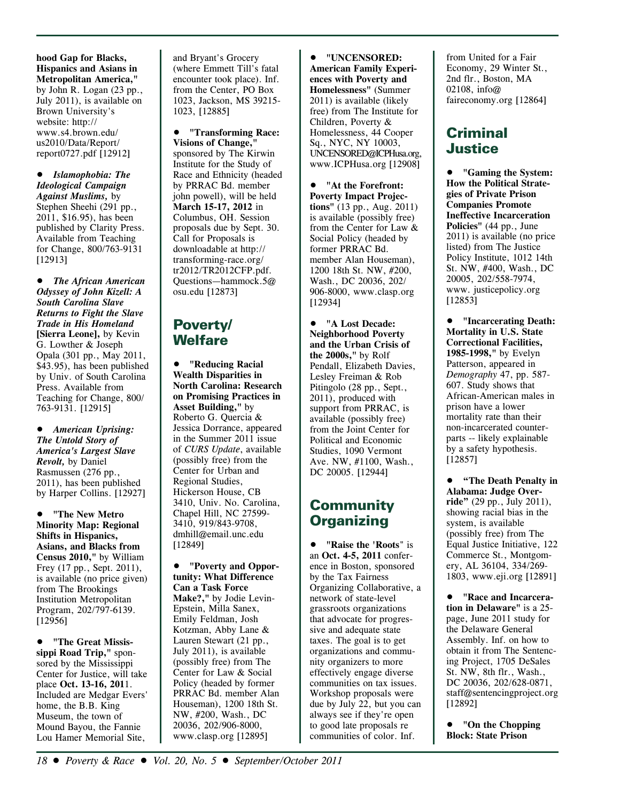**hood Gap for Blacks, Hispanics and Asians in Metropolitan America,"** by John R. Logan (23 pp., July 2011), is available on Brown University's website: http:// www.s4.brown.edu/ us2010/Data/Report/ report0727.pdf [12912]

• *Islamophobia: The Ideological Campaign Against Muslims,* by Stephen Sheehi (291 pp., 2011, \$16.95), has been published by Clarity Press. Available from Teaching for Change, 800/763-9131 [12913]

• *The African American Odyssey of John Kizell: A South Carolina Slave Returns to Fight the Slave Trade in His Homeland* **[Sierra Leone],** by Kevin G. Lowther & Joseph Opala (301 pp., May 2011, \$43.95), has been published by Univ. of South Carolina Press. Available from Teaching for Change, 800/ 763-9131. [12915]

• *American Uprising: The Untold Story of America's Largest Slave Revolt,* by Daniel Rasmussen (276 pp., 2011), has been published by Harper Collins. [12927]

• **"The New Metro Minority Map: Regional Shifts in Hispanics, Asians, and Blacks from Census 2010,"** by William Frey (17 pp., Sept. 2011), is available (no price given) from The Brookings Institution Metropolitan Program, 202/797-6139. [12956]

• **"The Great Mississippi Road Trip,"** sponsored by the Mississippi Center for Justice, will take place **Oct. 13-16, 201**1. Included are Medgar Evers' home, the B.B. King Museum, the town of Mound Bayou, the Fannie Lou Hamer Memorial Site,

and Bryant's Grocery (where Emmett Till's fatal encounter took place). Inf. from the Center, PO Box 1023, Jackson, MS 39215- 1023, [12885]

• **"Transforming Race: Visions of Change,"** sponsored by The Kirwin Institute for the Study of Race and Ethnicity (headed by PRRAC Bd. member john powell), will be held **March 15-17, 2012** in Columbus, OH. Session proposals due by Sept. 30. Call for Proposals is downloadable at http:// transforming-race.org/ tr2012/TR2012CFP.pdf. Questions—hammock.5@ osu.edu [12873]

# **Poverty/ Welfare**

• **"Reducing Racial Wealth Disparities in North Carolina: Research on Promising Practices in Asset Building,"** by Roberto G. Quercia & Jessica Dorrance, appeared in the Summer 2011 issue of *CURS Update*, available (possibly free) from the Center for Urban and Regional Studies, Hickerson House, CB 3410, Univ. No. Carolina, Chapel Hill, NC 27599- 3410, 919/843-9708, dmhill@email.unc.edu [12849]

• **"Poverty and Opportunity: What Difference Can a Task Force Make?,"** by Jodie Levin-Epstein, Milla Sanex, Emily Feldman, Josh Kotzman, Abby Lane & Lauren Stewart (21 pp., July 2011), is available (possibly free) from The Center for Law & Social Policy (headed by former PRRAC Bd. member Alan Houseman), 1200 18th St. NW, #200, Wash., DC 20036, 202/906-8000, www.clasp.org [12895]

• **"UNCENSORED: American Family Experiences with Poverty and Homelessness"** (Summer 2011) is available (likely free) from The Institute for Children, Poverty & Homelessness, 44 Cooper Sq., NYC, NY 10003, UNCENSORED@ICPHusa.org, www.ICPHusa.org [12908]

• **"At the Forefront: Poverty Impact Projections"** (13 pp., Aug. 2011) is available (possibly free) from the Center for Law & Social Policy (headed by former PRRAC Bd. member Alan Houseman), 1200 18th St. NW, #200, Wash., DC 20036, 202/ 906-8000, www.clasp.org [12934]

• **"A Lost Decade: Neighborhood Poverty and the Urban Crisis of the 2000s,"** by Rolf Pendall, Elizabeth Davies, Lesley Freiman & Rob Pitingolo (28 pp., Sept., 2011), produced with support from PRRAC, is available (possibly free) from the Joint Center for Political and Economic Studies, 1090 Vermont Ave. NW, #1100, Wash., DC 20005. [12944]

# **Community Organizing**

• **"Raise the 'Roots**" is an **Oct. 4-5, 2011** conference in Boston, sponsored by the Tax Fairness Organizing Collaborative, a network of state-level grassroots organizations that advocate for progressive and adequate state taxes. The goal is to get organizations and community organizers to more effectively engage diverse communities on tax issues. Workshop proposals were due by July 22, but you can always see if they're open to good late proposals re communities of color. Inf.

from United for a Fair Economy, 29 Winter St., 2nd flr., Boston, MA 02108, info@ faireconomy.org [12864]

## **Criminal Justice**

• **"Gaming the System: How the Political Strategies of Private Prison Companies Promote Ineffective Incarceration Policies"** (44 pp., June 2011) is available (no price listed) from The Justice Policy Institute, 1012 14th St. NW, #400, Wash., DC 20005, 202/558-7974, www. justicepolicy.org [12853]

• **"Incarcerating Death: Mortality in U.S. State Correctional Facilities, 1985-1998,"** by Evelyn Patterson, appeared in *Demography* 47, pp. 587- 607. Study shows that African-American males in prison have a lower mortality rate than their non-incarcerated counterparts -- likely explainable by a safety hypothesis. [12857]

• **"The Death Penalty in Alabama: Judge Override"** (29 pp., July 2011), showing racial bias in the system, is available (possibly free) from The Equal Justice Initiative, 122 Commerce St., Montgomery, AL 36104, 334/269- 1803, www.eji.org [12891]

• **"Race and Incarceration in Delaware"** is a 25 page, June 2011 study for the Delaware General Assembly. Inf. on how to obtain it from The Sentencing Project, 1705 DeSales St. NW, 8th flr., Wash., DC 20036, 202/628-0871, staff@sentencingproject.org [12892]

• **"On the Chopping Block: State Prison**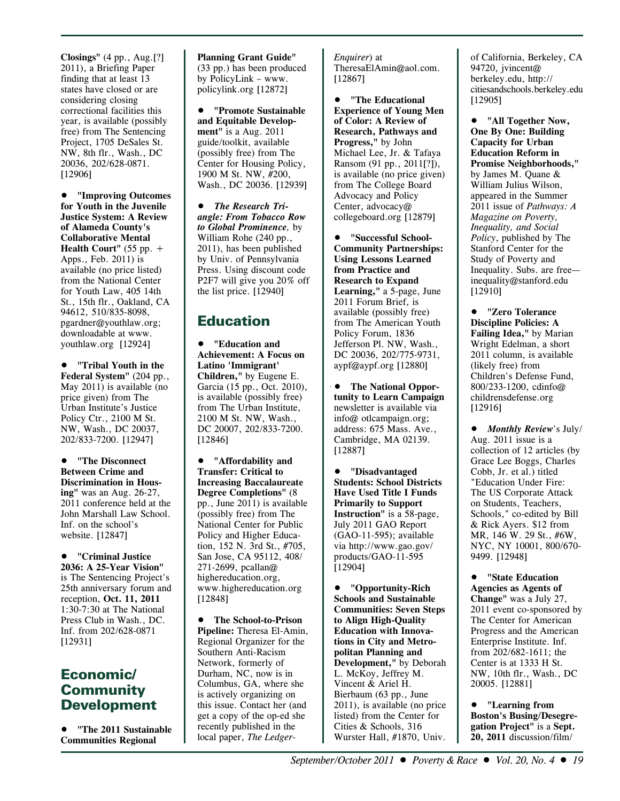**Closings"** (4 pp., Aug.[?] 2011), a Briefing Paper finding that at least 13 states have closed or are considering closing correctional facilities this year, is available (possibly free) from The Sentencing Project, 1705 DeSales St. NW, 8th flr., Wash., DC 20036, 202/628-0871. [12906]

• **"Improving Outcomes for Youth in the Juvenile Justice System: A Review of Alameda County's Collaborative Mental Health Court"** (55 pp. + Apps., Feb. 2011) is available (no price listed) from the National Center for Youth Law, 405 14th St., 15th flr., Oakland, CA 94612, 510/835-8098, pgardner@youthlaw.org; downloadable at www. youthlaw.org [12924]

• **"Tribal Youth in the Federal System"** (204 pp., May 2011) is available (no price given) from The Urban Institute's Justice Policy Ctr., 2100 M St. NW, Wash., DC 20037, 202/833-7200. [12947]

**• "The Disconnect Between Crime and Discrimination in Housing"** was an Aug. 26-27, 2011 conference held at the John Marshall Law School. Inf. on the school's website. [12847]

• **"Criminal Justice 2036: A 25-Year Vision"** is The Sentencing Project's 25th anniversary forum and reception, **Oct. 11, 2011** 1:30-7:30 at The National Press Club in Wash., DC. Inf. from 202/628-0871 [12931]

## **Economic/ Community Development**

**• "The 2011 Sustainable Communities Regional**

**Planning Grant Guide"** (33 pp.) has been produced by PolicyLink – www. policylink.org [12872]

• **"Promote Sustainable and Equitable Development"** is a Aug. 2011 guide/toolkit, available (possibly free) from The Center for Housing Policy, 1900 M St. NW, #200, Wash., DC 20036. [12939]

• *The Research Triangle: From Tobacco Row to Global Prominence,* by William Rohe (240 pp., 2011), has been published by Univ. of Pennsylvania Press. Using discount code P2F7 will give you 20% off the list price. [12940]

## **Education**

• **"Education and Achievement: A Focus on Latino 'Immigrant' Children,"** by Eugene E. Garcia (15 pp., Oct. 2010), is available (possibly free) from The Urban Institute, 2100 M St. NW, Wash., DC 20007, 202/833-7200. [12846]

• **"Affordability and Transfer: Critical to Increasing Baccalaureate Degree Completions"** (8 pp., June 2011) is available (possibly free) from The National Center for Public Policy and Higher Education, 152 N. 3rd St., #705, San Jose, CA 95112, 408/ 271-2699, pcallan@ highereducation.org, www.highereducation.org [12848]

• **The School-to-Prison Pipeline:** Theresa El-Amin, Regional Organizer for the Southern Anti-Racism Network, formerly of Durham, NC, now is in Columbus, GA, where she is actively organizing on this issue. Contact her (and get a copy of the op-ed she recently published in the local paper, *The Ledger-*

*Enquirer*) at TheresaElAmin@aol.com. [12867]

• **"The Educational Experience of Young Men of Color: A Review of Research, Pathways and Progress,"** by John Michael Lee, Jr. & Tafaya Ransom (91 pp., 2011[?]), is available (no price given) from The College Board Advocacy and Policy Center, advocacy@ collegeboard.org [12879]

• **"Successful School-Community Partnerships: Using Lessons Learned from Practice and Research to Expand Learning,"** a 5-page, June 2011 Forum Brief, is available (possibly free) from The American Youth Policy Forum, 1836 Jefferson Pl. NW, Wash., DC 20036, 202/775-9731, aypf@aypf.org [12880]

**• The National Opportunity to Learn Campaign** newsletter is available via info@ otlcampaign.org; address: 675 Mass. Ave., Cambridge, MA 02139. [12887]

• **"Disadvantaged Students: School Districts Have Used Title I Funds Primarily to Support Instruction"** is a 58-page, July 2011 GAO Report (GAO-11-595); available via http://www.gao.gov/ products/GAO-11-595 [12904]

• **"Opportunity-Rich Schools and Sustainable Communities: Seven Steps to Align High-Quality Education with Innovations in City and Metropolitan Planning and Development,"** by Deborah L. McKoy, Jeffrey M. Vincent & Ariel H. Bierbaum (63 pp., June 2011), is available (no price listed) from the Center for Cities & Schools, 316 Wurster Hall, #1870, Univ.

of California, Berkeley, CA 94720, jvincent@ berkeley.edu, http:// citiesandschools.berkeley.edu [12905]

• **"All Together Now, One By One: Building Capacity for Urban Education Reform in Promise Neighborhoods,"** by James M. Quane & William Julius Wilson, appeared in the Summer 2011 issue of *Pathways: A Magazine on Poverty, Inequality, and Social Policy*, published by The Stanford Center for the Study of Poverty and Inequality. Subs. are free inequality@stanford.edu [12910]

**• "Zero Tolerance Discipline Policies: A Failing Idea,"** by Marian Wright Edelman, a short 2011 column, is available (likely free) from Children's Defense Fund, 800/233-1200, cdinfo@ childrensdefense.org [12916]

*• Monthly Review*'s July/ Aug. 2011 issue is a collection of 12 articles (by Grace Lee Boggs, Charles Cobb, Jr. et al.) titled "Education Under Fire: The US Corporate Attack on Students, Teachers, Schools," co-edited by Bill & Rick Ayers. \$12 from MR, 146 W. 29 St., #6W, NYC, NY 10001, 800/670- 9499. [12948]

• **"State Education Agencies as Agents of Change"** was a July 27, 2011 event co-sponsored by The Center for American Progress and the American Enterprise Institute. Inf. from 202/682-1611; the Center is at 1333 H St. NW, 10th flr., Wash., DC 20005. [12881]

• **"Learning from Boston's Busing/Desegregation Project"** is a **Sept. 20, 2011** discussion/film/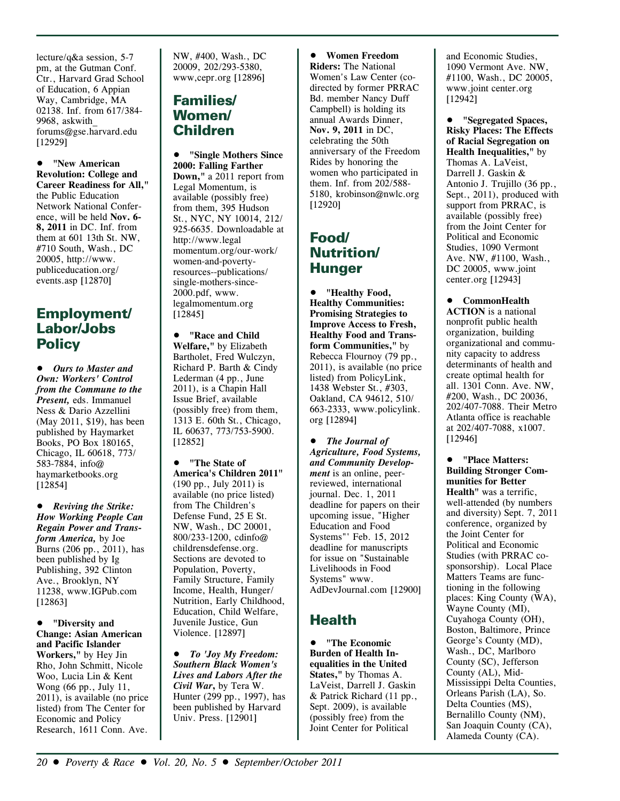lecture/q&a session, 5-7 pm, at the Gutman Conf. Ctr., Harvard Grad School of Education, 6 Appian Way, Cambridge, MA 02138. Inf. from 617/384- 9968, askwith\_ forums@gse.harvard.edu [12929]

• **"New American Revolution: College and Career Readiness for All,"** the Public Education Network National Conference, will be held **Nov. 6- 8, 2011** in DC. Inf. from them at 601 13th St. NW, #710 South, Wash., DC 20005, http://www. publiceducation.org/ events.asp [12870]

## **Employment/ Labor/Jobs Policy**

*• Ours to Master and Own: Workers' Control from the Commune to the Present,* eds. Immanuel Ness & Dario Azzellini (May 2011, \$19), has been published by Haymarket Books, PO Box 180165, Chicago, IL 60618, 773/ 583-7884, info@ haymarketbooks.org [12854]

• *Reviving the Strike: How Working People Can Regain Power and Transform America,* by Joe Burns (206 pp., 2011), has been published by Ig Publishing, 392 Clinton Ave., Brooklyn, NY 11238, www.IGPub.com [12863]

• **"Diversity and Change: Asian American and Pacific Islander Workers,"** by Hey Jin Rho, John Schmitt, Nicole Woo, Lucia Lin & Kent Wong (66 pp., July 11, 2011), is available (no price listed) from The Center for Economic and Policy Research, 1611 Conn. Ave.

NW, #400, Wash., DC 20009, 202/293-5380, www,cepr.org [12896]

## **Families/ Women/ Children**

• **"Single Mothers Since 2000: Falling Farther Down,"** a 2011 report from Legal Momentum, is available (possibly free) from them, 395 Hudson St., NYC, NY 10014, 212/ 925-6635. Downloadable at http://www.legal momentum.org/our-work/ women-and-povertyresources--publications/ single-mothers-since-2000.pdf, www. legalmomentum.org [12845]

• **"Race and Child Welfare,"** by Elizabeth Bartholet, Fred Wulczyn, Richard P. Barth & Cindy Lederman (4 pp., June 2011), is a Chapin Hall Issue Brief, available (possibly free) from them, 1313 E. 60th St., Chicago, IL 60637, 773/753-5900. [12852]

• **"The State of America's Children 2011"** (190 pp., July 2011) is available (no price listed) from The Children's Defense Fund, 25 E St. NW, Wash., DC 20001, 800/233-1200, cdinfo@ childrensdefense.org. Sections are devoted to Population, Poverty, Family Structure, Family Income, Health, Hunger/ Nutrition, Early Childhood, Education, Child Welfare, Juvenile Justice, Gun Violence. [12897]

• *To 'Joy My Freedom: Southern Black Women's Lives and Labors After the Civil War***,** by Tera W. Hunter (299 pp., 1997), has been published by Harvard Univ. Press. [12901]

• **Women Freedom Riders:** The National Women's Law Center (codirected by former PRRAC Bd. member Nancy Duff Campbell) is holding its annual Awards Dinner, **Nov. 9, 2011** in DC, celebrating the 50th anniversary of the Freedom Rides by honoring the women who participated in them. Inf. from 202/588- 5180, krobinson@nwlc.org [12920]

## **Food/ Nutrition/ Hunger**

• **"Healthy Food, Healthy Communities: Promising Strategies to Improve Access to Fresh, Healthy Food and Transform Communities,"** by Rebecca Flournoy (79 pp., 2011), is available (no price listed) from PolicyLink, 1438 Webster St., #303, Oakland, CA 94612, 510/ 663-2333, www.policylink. org [12894]

• *The Journal of Agriculture, Food Systems, and Community Development* is an online, peerreviewed, international journal. Dec. 1, 2011 deadline for papers on their upcoming issue, "Higher Education and Food Systems"' Feb. 15, 2012 deadline for manuscripts for issue on "Sustainable Livelihoods in Food Systems" www. AdDevJournal.com [12900]

# **Health**

• **"The Economic Burden of Health Inequalities in the United States,"** by Thomas A. LaVeist, Darrell J. Gaskin & Patrick Richard (11 pp., Sept. 2009), is available (possibly free) from the Joint Center for Political

and Economic Studies, 1090 Vermont Ave. NW, #1100, Wash., DC 20005, www.joint center.org [12942]

• **"Segregated Spaces, Risky Places: The Effects of Racial Segregation on Health Inequalities,"** by Thomas A. LaVeist, Darrell J. Gaskin & Antonio J. Trujillo (36 pp., Sept., 2011), produced with support from PRRAC, is available (possibly free) from the Joint Center for Political and Economic Studies, 1090 Vermont Ave. NW, #1100, Wash., DC 20005, www.joint center.org [12943]

• **CommonHealth ACTION** is a national nonprofit public health organization, building organizational and community capacity to address determinants of health and create optimal health for all. 1301 Conn. Ave. NW, #200, Wash., DC 20036, 202/407-7088. Their Metro Atlanta office is reachable at 202/407-7088, x1007. [12946]

• **"Place Matters: Building Stronger Communities for Better Health"** was a terrific, well-attended (by numbers and diversity) Sept. 7, 2011 conference, organized by the Joint Center for Political and Economic Studies (with PRRAC cosponsorship). Local Place Matters Teams are functioning in the following places: King County (WA), Wayne County (MI), Cuyahoga County (OH), Boston, Baltimore, Prince George's County (MD), Wash., DC, Marlboro County (SC), Jefferson County (AL), Mid-Mississippi Delta Counties, Orleans Parish (LA), So. Delta Counties (MS), Bernalillo County (NM), San Joaquin County (CA), Alameda County (CA).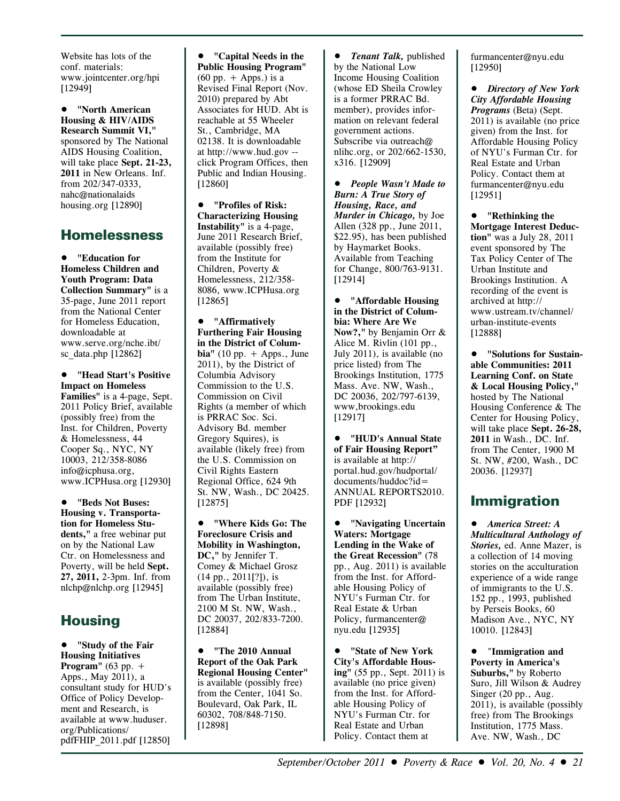Website has lots of the conf. materials: www.jointcenter.org/hpi [12949]

**• "North American Housing & HIV/AIDS Research Summit VI,"** sponsored by The National AIDS Housing Coalition, will take place **Sept. 21-23, 2011** in New Orleans. Inf. from 202/347-0333, nahc@nationalaids housing.org [12890]

## **Homelessness**

**• "Education for Homeless Children and Youth Program: Data Collection Summary"** is a 35-page, June 2011 report from the National Center for Homeless Education, downloadable at www.serve.org/nche.ibt/ sc data.php  $[12862]$ 

• **"Head Start's Positive Impact on Homeless Families"** is a 4-page, Sept. 2011 Policy Brief, available (possibly free) from the Inst. for Children, Poverty & Homelessness, 44 Cooper Sq., NYC, NY 10003, 212/358-8086 info@icphusa.org, www.ICPHusa.org [12930]

• **"Beds Not Buses: Housing v. Transportation for Homeless Students,"** a free webinar put on by the National Law Ctr. on Homelessness and Poverty, will be held **Sept. 27, 2011,** 2-3pm. Inf. from nlchp@nlchp.org [12945]

# **Housing**

• **"Study of the Fair Housing Initiatives Program"** (63 pp. + Apps., May 2011), a consultant study for HUD's Office of Policy Development and Research, is available at www.huduser. org/Publications/ pdfFHIP\_2011.pdf [12850]

• **"Capital Needs in the Public Housing Program"**  $(60 \text{ pp.} + \text{Apps.})$  is a Revised Final Report (Nov. 2010) prepared by Abt Associates for HUD. Abt is reachable at 55 Wheeler St., Cambridge, MA 02138. It is downloadable at http://www.hud.gov - click Program Offices, then Public and Indian Housing. [12860]

• **"Profiles of Risk: Characterizing Housing Instability"** is a 4-page, June 2011 Research Brief, available (possibly free) from the Institute for Children, Poverty & Homelessness, 212/358- 8086, www.ICPHusa.org [12865]

• **"Affirmatively Furthering Fair Housing in the District of Columbia**" (10 pp. + Apps., June 2011), by the District of Columbia Advisory Commission to the U.S. Commission on Civil Rights (a member of which is PRRAC Soc. Sci. Advisory Bd. member Gregory Squires), is available (likely free) from the U.S. Commission on Civil Rights Eastern Regional Office, 624 9th St. NW, Wash., DC 20425. [12875]

• **"Where Kids Go: The Foreclosure Crisis and Mobility in Washington, DC,"** by Jennifer T. Comey & Michael Grosz (14 pp., 2011[?]), is available (possibly free) from The Urban Institute, 2100 M St. NW, Wash., DC 20037, 202/833-7200. [12884]

• **"The 2010 Annual Report of the Oak Park Regional Housing Center"** is available (possibly free) from the Center, 1041 So. Boulevard, Oak Park, IL 60302, 708/848-7150. [12898]

• *Tenant Talk,* published by the National Low Income Housing Coalition (whose ED Sheila Crowley is a former PRRAC Bd. member), provides information on relevant federal government actions. Subscribe via outreach@ nlihc.org, or 202/662-1530, x316. [12909]

• *People Wasn't Made to Burn: A True Story of Housing, Race, and Murder in Chicago,* by Joe Allen (328 pp., June 2011, \$22.95), has been published by Haymarket Books. Available from Teaching for Change, 800/763-9131. [12914]

• **"Affordable Housing in the District of Columbia: Where Are We Now?,"** by Benjamin Orr & Alice M. Rivlin (101 pp., July 2011), is available (no price listed) from The Brookings Institution, 1775 Mass. Ave. NW, Wash., DC 20036, 202/797-6139, www,brookings.edu [12917]

• **"HUD's Annual State of Fair Housing Report"** is available at http:// portal.hud.gov/hudportal/ documents/huddoc?id= ANNUAL REPORTS2010. PDF [12932]

• **"Navigating Uncertain Waters: Mortgage Lending in the Wake of the Great Recession"** (78 pp., Aug. 2011) is available from the Inst. for Affordable Housing Policy of NYU's Furman Ctr. for Real Estate & Urban Policy, furmancenter@ nyu.edu [12935]

• **"State of New York City's Affordable Housing"** (55 pp., Sept. 2011) is available (no price given) from the Inst. for Affordable Housing Policy of NYU's Furman Ctr. for Real Estate and Urban Policy. Contact them at

furmancenter@nyu.edu [12950]

*• Directory of New York City Affordable Housing Programs* (Beta) (Sept. 2011) is available (no price given) from the Inst. for Affordable Housing Policy of NYU's Furman Ctr. for Real Estate and Urban Policy. Contact them at furmancenter@nyu.edu [12951]

• **"Rethinking the Mortgage Interest Deduction"** was a July 28, 2011 event sponsored by The Tax Policy Center of The Urban Institute and Brookings Institution. A recording of the event is archived at http:// www.ustream.tv/channel/ urban-institute-events [12888]

• **"Solutions for Sustainable Communities: 2011 Learning Conf. on State & Local Housing Policy,"** hosted by The National Housing Conference & The Center for Housing Policy, will take place **Sept. 26-28, 2011** in Wash., DC. Inf. from The Center, 1900 M St. NW, #200, Wash., DC 20036. [12937]

# **Immigration**

• *America Street: A Multicultural Anthology of Stories,* ed. Anne Mazer, is a collection of 14 moving stories on the acculturation experience of a wide range of immigrants to the U.S. 152 pp., 1993, published by Perseis Books, 60 Madison Ave., NYC, NY 10010. [12843]

• "**Immigration and Poverty in America's Suburbs,"** by Roberto Suro, Jill Wilson & Audrey Singer (20 pp., Aug. 2011), is available (possibly free) from The Brookings Institution, 1775 Mass. Ave. NW, Wash., DC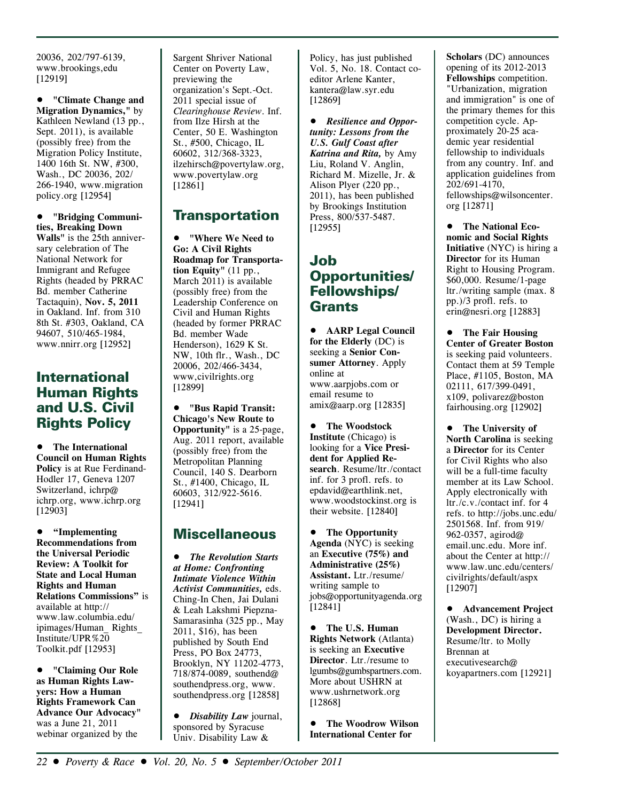20036, 202/797-6139, www.brookings,edu [12919]

• **"Climate Change and Migration Dynamics,"** by Kathleen Newland (13 pp., Sept. 2011), is available (possibly free) from the Migration Policy Institute, 1400 16th St. NW, #300, Wash., DC 20036, 202/ 266-1940, www.migration policy.org [12954]

#### • **"Bridging Communities, Breaking Down**

**Walls"** is the 25th anniversary celebration of The National Network for Immigrant and Refugee Rights (headed by PRRAC Bd. member Catherine Tactaquin), **Nov. 5, 2011** in Oakland. Inf. from 310 8th St. #303, Oakland, CA 94607, 510/465-1984, www.nnirr.org [12952]

## **International Human Rights and U.S. Civil Rights Policy**

• **The International Council on Human Rights Policy** is at Rue Ferdinand-Hodler 17, Geneva 1207 Switzerland, ichrp@ ichrp.org, www.ichrp.org [12903]

• **"Implementing Recommendations from the Universal Periodic Review: A Toolkit for State and Local Human Rights and Human Relations Commissions"** is available at http:// www.law.columbia.edu/ ipimages/Human\_ Rights\_ Institute/UPR%20 Toolkit.pdf [12953]

• **"Claiming Our Role as Human Rights Lawyers: How a Human Rights Framework Can Advance Our Advocacy"** was a June 21, 2011 webinar organized by the

Sargent Shriver National Center on Poverty Law, previewing the organization's Sept.-Oct. 2011 special issue of *Clearinghouse Review*. Inf. from Ilze Hirsh at the Center, 50 E. Washington St., #500, Chicago, IL 60602, 312/368-3323, ilzehirsch@povertylaw.org, www.povertylaw.org [12861]

# **Transportation**

• **"Where We Need to Go: A Civil Rights Roadmap for Transportation Equity"** (11 pp., March 2011) is available (possibly free) from the Leadership Conference on Civil and Human Rights (headed by former PRRAC Bd. member Wade Henderson), 1629 K St. NW, 10th flr., Wash., DC 20006, 202/466-3434, www,civilrights.org [12899]

• **"Bus Rapid Transit: Chicago's New Route to Opportunity"** is a 25-page, Aug. 2011 report, available (possibly free) from the Metropolitan Planning Council, 140 S. Dearborn St., #1400, Chicago, IL 60603, 312/922-5616. [12941]

## **Miscellaneous**

• *The Revolution Starts at Home: Confronting Intimate Violence Within Activist Communities,* eds. Ching-In Chen, Jai Dulani & Leah Lakshmi Piepzna-Samarasinha (325 pp., May 2011, \$16), has been published by South End Press, PO Box 24773, Brooklyn, NY 11202-4773, 718/874-0089, southend@ southendpress.org, www. southendpress.org [12858]

• *Disability Law* journal, sponsored by Syracuse Univ. Disability Law &

Policy, has just published Vol. 5, No. 18. Contact coeditor Arlene Kanter, kantera@law.syr.edu [12869]

• *Resilience and Opportunity: Lessons from the U.S. Gulf Coast after Katrina and Rita,* by Amy Liu, Roland V. Anglin, Richard M. Mizelle, Jr. & Alison Plyer (220 pp., 2011), has been published by Brookings Institution Press, 800/537-5487. [12955]

## **Job Opportunities/ Fellowships/ Grants**

• **AARP Legal Council for the Elderly** (DC) is seeking a **Senior Consumer Attorney**. Apply online at www.aarpjobs.com or email resume to amix@aarp.org [12835]

• **The Woodstock Institute** (Chicago) is looking for a **Vice President for Applied Research**. Resume/ltr./contact inf. for 3 profl. refs. to epdavid@earthlink.net, www.woodstockinst.org is their website. [12840]

• **The Opportunity Agenda** (NYC) is seeking an **Executive (75%) and Administrative (25%) Assistant.** Ltr./resume/ writing sample to jobs@opportunityagenda.org [12841]

• **The U.S. Human Rights Network** (Atlanta) is seeking an **Executive Director**. Ltr./resume to lgumbs@gumbspartners.com. More about USHRN at www.ushrnetwork.org [12868]

• **The Woodrow Wilson International Center for**

**Scholars** (DC) announces opening of its 2012-2013 **Fellowships** competition. "Urbanization, migration and immigration" is one of the primary themes for this competition cycle. Approximately 20-25 academic year residential fellowship to individuals from any country. Inf. and application guidelines from 202/691-4170, fellowships@wilsoncenter. org [12871]

• **The National Economic and Social Rights Initiative** (NYC) is hiring a **Director** for its Human Right to Housing Program. \$60,000. Resume/1-page ltr./writing sample (max. 8 pp.)/3 profl. refs. to erin@nesri.org [12883]

• **The Fair Housing Center of Greater Boston** is seeking paid volunteers. Contact them at 59 Temple Place, #1105, Boston, MA 02111, 617/399-0491, x109, polivarez@boston fairhousing.org [12902]

• **The University of North Carolina** is seeking a **Director** for its Center for Civil Rights who also will be a full-time faculty member at its Law School. Apply electronically with ltr./c.v./contact inf. for 4 refs. to http://jobs.unc.edu/ 2501568. Inf. from 919/ 962-0357, agirod@ email.unc.edu. More inf. about the Center at http:// www.law.unc.edu/centers/ civilrights/default/aspx [12907]

• **Advancement Project** (Wash., DC) is hiring a **Development Director.** Resume/ltr. to Molly Brennan at executivesearch@ koyapartners.com [12921]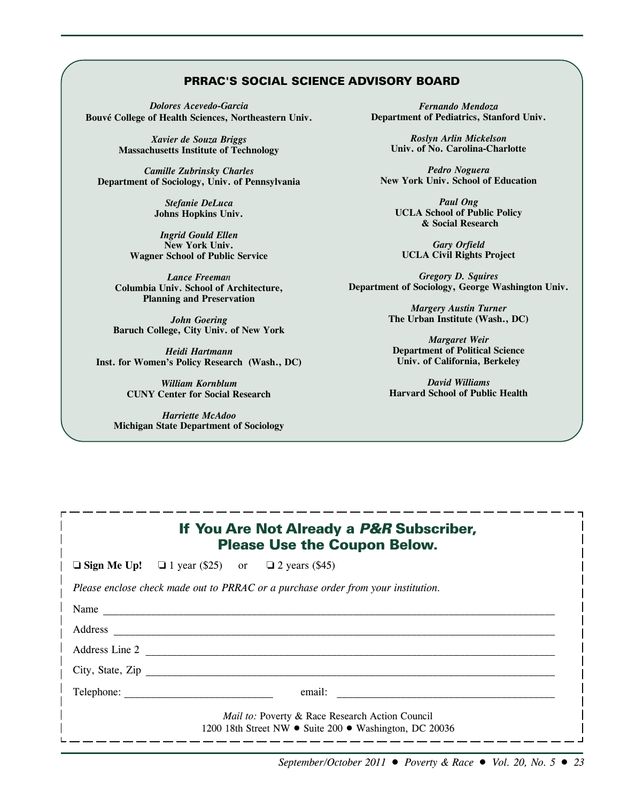#### **PRRAC'S SOCIAL SCIENCE ADVISORY BOARD**

*Dolores Acevedo-Garcia* **Bouvé College of Health Sciences, Northeastern Univ.**

> *Xavier de Souza Briggs* **Massachusetts Institute of Technology**

*Camille Zubrinsky Charles* **Department of Sociology, Univ. of Pennsylvania**

> *Stefanie DeLuca* **Johns Hopkins Univ.**

*Ingrid Gould Ellen* **New York Univ. Wagner School of Public Service**

*Lance Freeman* **Columbia Univ. School of Architecture, Planning and Preservation**

*John Goering* **Baruch College, City Univ. of New York**

*Heidi Hartmann* **Inst. for Women's Policy Research (Wash., DC)**

> *William Kornblum* **CUNY Center for Social Research**

*Harriette McAdoo* **Michigan State Department of Sociology**

*Fernando Mendoza* **Department of Pediatrics, Stanford Univ.**

> *Roslyn Arlin Mickelson* **Univ. of No. Carolina-Charlotte**

*Pedro Noguera* **New York Univ. School of Education**

> *Paul Ong* **UCLA School of Public Policy & Social Research**

*Gary Orfield* **UCLA Civil Rights Project**

*Gregory D. Squires* **Department of Sociology, George Washington Univ.**

> *Margery Austin Turner* **The Urban Institute (Wash., DC)**

*Margaret Weir* **Department of Political Science Univ. of California, Berkeley**

*David Williams* **Harvard School of Public Health**

### **If You Are Not Already a P&R Subscriber, Please Use the Coupon Below.**

| $\Box$ Sign Me Up! | $\Box$ 1 year (\$25) |  | $\Box$ 2 years (\$45) |
|--------------------|----------------------|--|-----------------------|
|--------------------|----------------------|--|-----------------------|

*Please enclose check made out to PRRAC or a purchase order from your institution.*

| Name             |                                                                                                           |
|------------------|-----------------------------------------------------------------------------------------------------------|
| Address          |                                                                                                           |
| Address Line 2   |                                                                                                           |
| City, State, Zip |                                                                                                           |
|                  | Telephone:<br>email:<br><u> 1989 - Jan Samuel Barbara, martin d</u>                                       |
|                  | Mail to: Poverty & Race Research Action Council<br>1200 18th Street NW • Suite 200 • Washington, DC 20036 |